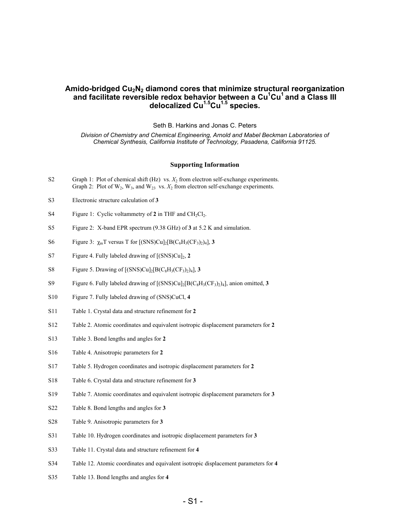# **Amido-bridged Cu2N2 diamond cores that minimize structural reorganization** and facilitate reversible redox behavior between a Cu<sup>1</sup>Cu<sup>1</sup> and a Class III **delocalized Cu1.5Cu1.5 species.**

Seth B. Harkins and Jonas C. Peters

*Division of Chemistry and Chemical Engineering, Arnold and Mabel Beckman Laboratories of Chemical Synthesis, California Institute of Technology, Pasadena, California 91125.* 

#### **Supporting Information**

- S2 Graph 1: Plot of chemical shift  $(Hz)$  vs.  $X_2$  from electron self-exchange experiments. Graph 2: Plot of  $W_2$ ,  $W_3$ , and  $W_{23}$  vs.  $X_2$  from electron self-exchange experiments.
- S3 Electronic structure calculation of **3**
- S4 Figure 1: Cyclic voltammetry of  $2$  in THF and  $CH_2Cl_2$ .
- S5 Figure 2: X-band EPR spectrum (9.38 GHz) of **3** at 5.2 K and simulation.
- S6 Figure 3:  $\chi_{m}T$  versus T for  $[(SNS)Cu]_{2}[B(C_{6}H_{3}(CF_{3})_{2})_{4}]$ , **3**
- S7 Figure 4. Fully labeled drawing of [(SNS)Cu]2, **2**
- S8 Figure 5. Drawing of  $[(SNS)Cu]_2[B(C_8H_3(CF_3)_2)_4]$ , **3**
- S9 Figure 6. Fully labeled drawing of [(SNS)Cu]2[B(C8H3(CF3)2)4], anion omitted, **3**
- S10 Figure 7. Fully labeled drawing of (SNS)CuCl, **4**
- S11 Table 1. Crystal data and structure refinement for **2**
- S12 Table 2. Atomic coordinates and equivalent isotropic displacement parameters for **2**
- S13 Table 3. Bond lengths and angles for **2**
- S16 Table 4. Anisotropic parameters for **2**
- S17 Table 5. Hydrogen coordinates and isotropic displacement parameters for **2**
- S18 Table 6. Crystal data and structure refinement for **3**
- S19 Table 7. Atomic coordinates and equivalent isotropic displacement parameters for **3**
- S22 Table 8. Bond lengths and angles for **3**
- S28 Table 9. Anisotropic parameters for **3**
- S31 Table 10. Hydrogen coordinates and isotropic displacement parameters for **3**
- S33 Table 11. Crystal data and structure refinement for **4**
- S34 Table 12. Atomic coordinates and equivalent isotropic displacement parameters for **4**
- S35 Table 13. Bond lengths and angles for **4**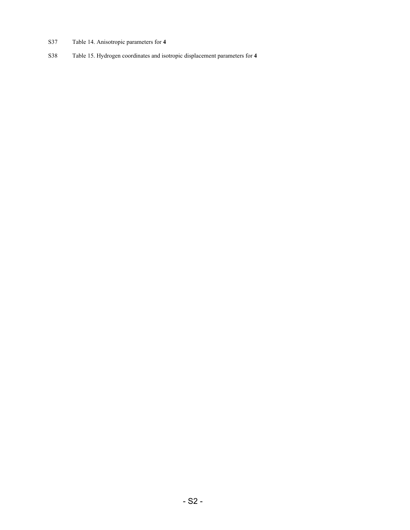- S37 Table 14. Anisotropic parameters for **4**
- S38 Table 15. Hydrogen coordinates and isotropic displacement parameters for **4**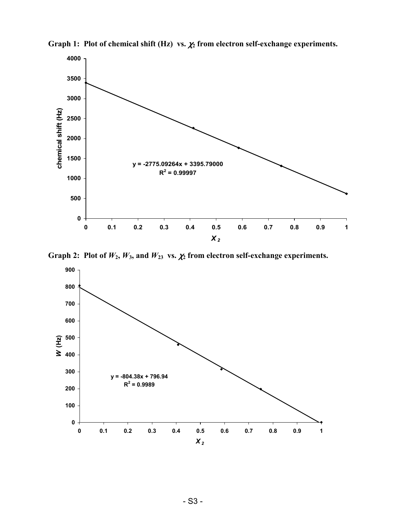

**Graph 1: Plot of chemical shift (Hz) vs.** χ**2 from electron self-exchange experiments.**

Graph 2: Plot of  $W_2$ ,  $W_3$ , and  $W_{23}$  vs.  $\chi_2$  from electron self-exchange experiments.

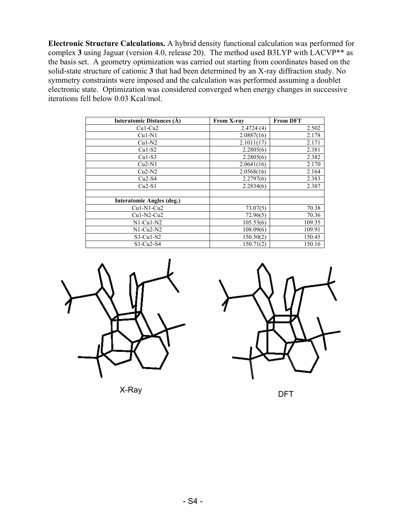**Electronic Structure Calculations.** A hybrid density functional calculation was performed for complex **3** using Jaguar (version 4.0, release 20). The method used B3LYP with LACVP\*\* as the basis set. A geometry optimization was carried out starting from coordinates based on the solid-state structure of cationic **3** that had been determined by an X-ray diffraction study. No symmetry constraints were imposed and the calculation was performed assuming a doublet electronic state. Optimization was considered converged when energy changes in successive iterations fell below 0.03 Kcal/mol.

| Interatomic Distances (Å)        | <b>From X-ray</b> | <b>From DFT</b> |
|----------------------------------|-------------------|-----------------|
| $Cu1-Cu2$                        | 2.4724(4)         | 2.502           |
| $Cu1-N1$                         | 2.0887(16)        | 2.178           |
| $Cu1-N2$                         | 2.1011(17)        | 2.171           |
| $Cu1-S2$                         | 2.2805(6)         | 2.381           |
| $Cu1-S3$                         | 2.2805(6)         | 2.382           |
| $Cu2-N1$                         | 2.0641(16)        | 2.170           |
| $Cu2-N2$                         | 2.0568(16)        | 2.164           |
| $Cu2-S4$                         | 2.2797(6)         | 2.383           |
| $Cu2-S1$                         | 2.2834(6)         | 2.387           |
|                                  |                   |                 |
| <b>Interatomic Angles (deg.)</b> |                   |                 |
| $Cu1-N1-Cu2$                     | 73.07(5)          | 70.38           |
| $Cu1-N2-Cu2$                     | 72.96(5)          | 70.36           |
| $N1$ -Cu $1$ -N2                 | 105.53(6)         | 109.35          |
| $N1$ -Cu2- $N2$                  | 108.09(6)         | 109.91          |
| $S3-Cu1-S2$                      | 150.50(2)         | 150.45          |
| $S1-Cu2-S4$                      | 150.71(2)         | 150.16          |



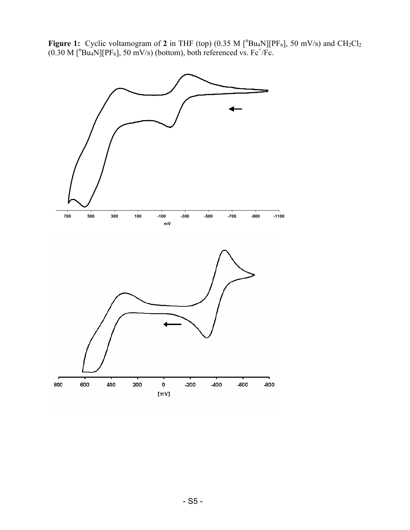**Figure 1:** Cyclic voltamogram of 2 in THF (top) (0.35 M  $[^nBu_4N][PF_6]$ , 50 mV/s) and CH<sub>2</sub>Cl<sub>2</sub>  $(0.30 \text{ M} \text{[^n}Bu_4N][PF_6]$ , 50 mV/s) (bottom), both referenced vs. Fc<sup>+</sup>/Fc.

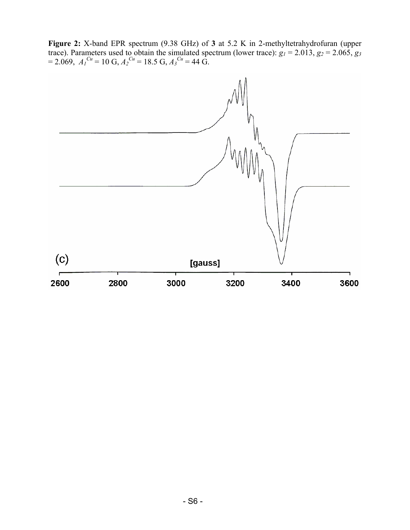**Figure 2:** X-band EPR spectrum (9.38 GHz) of **3** at 5.2 K in 2-methyltetrahydrofuran (upper trace). Parameters used to obtain the simulated spectrum (lower trace):  $g_1 = 2.013$ ,  $g_2 = 2.065$ ,  $g_3$  $= 2.069$ ,  $A_1^{Cu} = 10 \text{ G}$ ,  $A_2^{Cu} = 18.5 \text{ G}$ ,  $A_3^{Cu} = 44 \text{ G}$ .

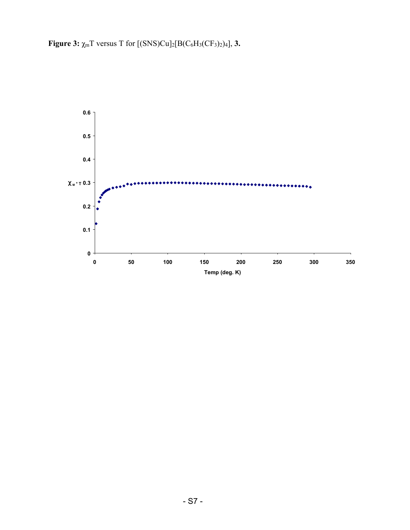**Figure 3:**  $\chi_m T$  versus T for  $[(SNS)Cu]_2[B(C_6H_3(CF_3)_2)_4]$ , **3.** 

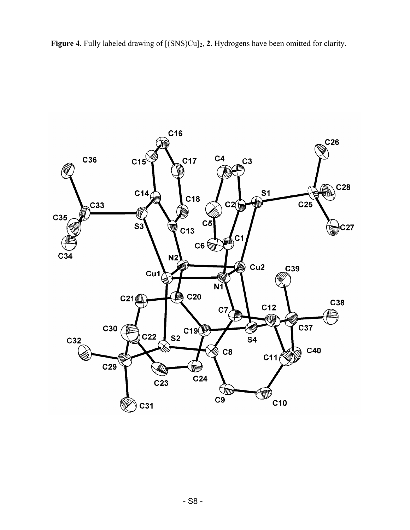Figure 4. Fully labeled drawing of  $[(SNS)Cu]_2$ , 2. Hydrogens have been omitted for clarity.

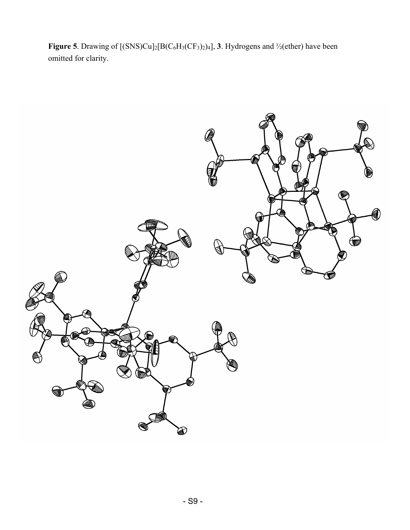**Figure 5**. Drawing of  $[(SNS)Cu]_2[B(C_6H_3(CF_3)_2)_4]$ , **3**. Hydrogens and  $\frac{1}{2}$  (ether) have been omitted for clarity.

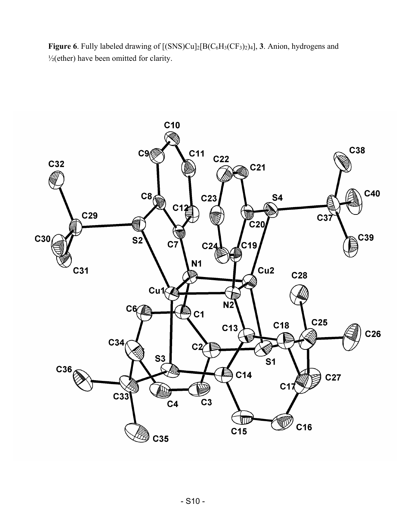Figure 6. Fully labeled drawing of  $[(SNS)Cu]_2[B(C_6H_3(CF_3)_2)_4]$ , **3**. Anion, hydrogens and  $\frac{1}{2}$ (ether) have been omitted for clarity.

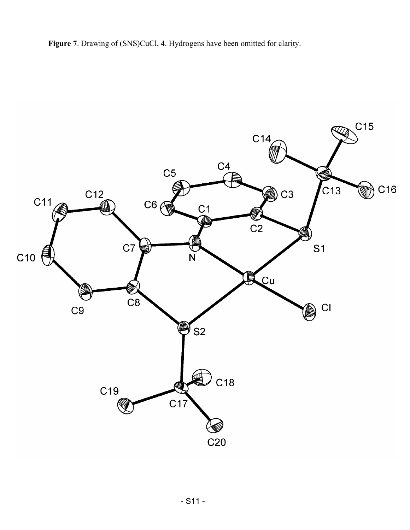**Figure 7**. Drawing of (SNS)CuCl, **4**. Hydrogens have been omitted for clarity.

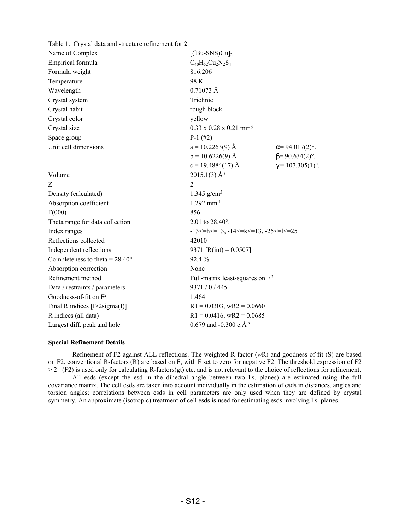| Table 1. Crystal data and structure refinement for 2. |                                                         |                          |
|-------------------------------------------------------|---------------------------------------------------------|--------------------------|
| Name of Complex                                       | $[(tBu-SNS)Cu]_2$                                       |                          |
| Empirical formula                                     | $C_{40}H_{52}Cu_2N_2S_4$                                |                          |
| Formula weight                                        | 816.206                                                 |                          |
| Temperature                                           | 98 K                                                    |                          |
| Wavelength                                            | $0.71073 \text{ Å}$                                     |                          |
| Crystal system                                        | Triclinic                                               |                          |
| Crystal habit                                         | rough block                                             |                          |
| Crystal color                                         | yellow                                                  |                          |
| Crystal size                                          | $0.33 \times 0.28 \times 0.21$ mm <sup>3</sup>          |                          |
| Space group                                           | $P-1$ (#2)                                              |                          |
| Unit cell dimensions                                  | $a = 10.2263(9)$ Å                                      | $\alpha = 94.017(2)$ °.  |
|                                                       | $b = 10.6226(9)$ Å                                      | $\beta$ = 90.634(2)°.    |
|                                                       | $c = 19.4884(17)$ Å                                     | $\gamma = 107.305(1)$ °. |
| Volume                                                | $2015.1(3)$ Å <sup>3</sup>                              |                          |
| Z                                                     | $\overline{2}$                                          |                          |
| Density (calculated)                                  | 1.345 $g/cm3$                                           |                          |
| Absorption coefficient                                | $1.292$ mm <sup>-1</sup>                                |                          |
| F(000)                                                | 856                                                     |                          |
| Theta range for data collection                       | 2.01 to 28.40°.                                         |                          |
| Index ranges                                          | $-13$ <= h < = 13, $-14$ < = k < = 13, $-25$ < = k = 25 |                          |
| Reflections collected                                 | 42010                                                   |                          |
| Independent reflections                               | 9371 [R(int) = $0.0507$ ]                               |                          |
| Completeness to theta = $28.40^{\circ}$               | 92.4%                                                   |                          |
| Absorption correction                                 | None                                                    |                          |
| Refinement method                                     | Full-matrix least-squares on F <sup>2</sup>             |                          |
| Data / restraints / parameters                        | 9371 / 0 / 445                                          |                          |
| Goodness-of-fit on $F^2$                              | 1.464                                                   |                          |
| Final R indices $[1>2$ sigma $(I)$ ]                  | $R1 = 0.0303$ , wR2 = 0.0660                            |                          |
| R indices (all data)                                  | $R1 = 0.0416$ , wR2 = 0.0685                            |                          |
| Largest diff. peak and hole                           | 0.679 and -0.300 e. $\AA$ <sup>-3</sup>                 |                          |

## **Special Refinement Details**

Refinement of F2 against ALL reflections. The weighted R-factor (*w*R) and goodness of fit (S) are based on F2, conventional R-factors (R) are based on F, with F set to zero for negative F2. The threshold expression of F2  $> 2$  (F2) is used only for calculating R-factors(gt) etc. and is not relevant to the choice of reflections for refinement.

All esds (except the esd in the dihedral angle between two l.s. planes) are estimated using the full covariance matrix. The cell esds are taken into account individually in the estimation of esds in distances, angles and torsion angles; correlations between esds in cell parameters are only used when they are defined by crystal symmetry. An approximate (isotropic) treatment of cell esds is used for estimating esds involving l.s. planes.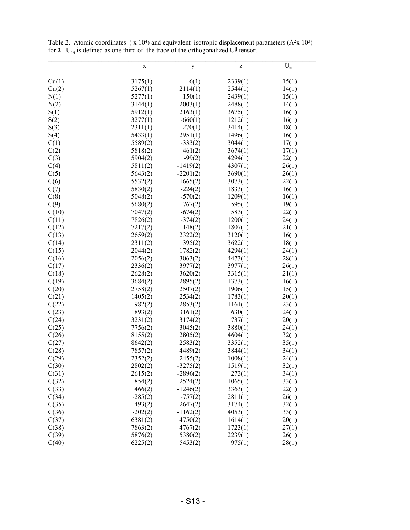|       | $\mathbf X$ | y          | Z       | $\mathbf{U}_{\text{eq}}$ |
|-------|-------------|------------|---------|--------------------------|
| Cu(1) | 3175(1)     | 6(1)       | 2339(1) | 15(1)                    |
| Cu(2) | 5267(1)     | 2114(1)    | 2544(1) | 14(1)                    |
| N(1)  | 5277(1)     | 150(1)     | 2439(1) | 15(1)                    |
| N(2)  | 3144(1)     | 2003(1)    | 2488(1) | 14(1)                    |
| S(1)  | 5912(1)     | 2163(1)    | 3675(1) | 16(1)                    |
| S(2)  | 3277(1)     | $-660(1)$  | 1212(1) | 16(1)                    |
| S(3)  | 2311(1)     | $-270(1)$  | 3414(1) | 18(1)                    |
| S(4)  | 5433(1)     | 2951(1)    | 1496(1) | 16(1)                    |
| C(1)  | 5589(2)     | $-333(2)$  | 3044(1) | 17(1)                    |
| C(2)  | 5818(2)     | 461(2)     | 3674(1) | 17(1)                    |
| C(3)  | 5904(2)     | $-99(2)$   | 4294(1) | 22(1)                    |
| C(4)  | 5811(2)     | $-1419(2)$ | 4307(1) | 26(1)                    |
| C(5)  | 5643(2)     | $-2201(2)$ | 3690(1) | 26(1)                    |
| C(6)  | 5532(2)     | $-1665(2)$ | 3073(1) | 22(1)                    |
| C(7)  | 5830(2)     | $-224(2)$  | 1833(1) | 16(1)                    |
| C(8)  | 5048(2)     | $-570(2)$  | 1209(1) | 16(1)                    |
| C(9)  | 5680(2)     | $-767(2)$  | 595(1)  | 19(1)                    |
| C(10) | 7047(2)     | $-674(2)$  | 583(1)  | 22(1)                    |
| C(11) | 7826(2)     | $-374(2)$  | 1200(1) | 24(1)                    |
| C(12) | 7217(2)     | $-148(2)$  | 1807(1) | 21(1)                    |
| C(13) | 2659(2)     | 2322(2)    | 3120(1) | 16(1)                    |
| C(14) | 2311(2)     | 1395(2)    | 3622(1) | 18(1)                    |
| C(15) | 2044(2)     | 1782(2)    | 4294(1) | 24(1)                    |
| C(16) | 2056(2)     | 3063(2)    | 4473(1) | 28(1)                    |
| C(17) | 2336(2)     | 3977(2)    | 3977(1) | 26(1)                    |
| C(18) | 2628(2)     | 3620(2)    | 3315(1) | 21(1)                    |
| C(19) | 3684(2)     | 2895(2)    | 1373(1) | 16(1)                    |
| C(20) | 2758(2)     | 2507(2)    | 1906(1) | 15(1)                    |
| C(21) | 1405(2)     | 2534(2)    | 1783(1) | 20(1)                    |
| C(22) | 982(2)      | 2853(2)    | 1161(1) | 23(1)                    |
| C(23) | 1893(2)     | 3161(2)    | 630(1)  | 24(1)                    |
| C(24) | 3231(2)     | 3174(2)    | 737(1)  | 20(1)                    |
| C(25) | 7756(2)     | 3045(2)    | 3880(1) | 24(1)                    |
| C(26) | 8155(2)     | 2805(2)    | 4604(1) | 32(1)                    |
| C(27) | 8642(2)     | 2583(2)    | 3352(1) | 35(1)                    |
| C(28) | 7857(2)     | 4489(2)    | 3844(1) | 34(1)                    |
| C(29) | 2352(2)     | $-2455(2)$ | 1008(1) | 24(1)                    |
| C(30) | 2802(2)     | $-3275(2)$ | 1519(1) | 32(1)                    |
| C(31) | 2615(2)     | $-2896(2)$ | 273(1)  | 34(1)                    |
| C(32) | 854(2)      | $-2524(2)$ | 1065(1) | 33(1)                    |
| C(33) | 466(2)      | $-1246(2)$ | 3363(1) | 22(1)                    |
| C(34) | $-285(2)$   | $-757(2)$  | 2811(1) | 26(1)                    |
| C(35) | 493(2)      | $-2647(2)$ | 3174(1) | 32(1)                    |
| C(36) | $-202(2)$   | $-1162(2)$ | 4053(1) | 33(1)                    |
| C(37) | 6381(2)     | 4750(2)    | 1614(1) | 20(1)                    |
| C(38) | 7863(2)     | 4767(2)    | 1723(1) | 27(1)                    |
| C(39) | 5876(2)     | 5380(2)    | 2239(1) | 26(1)                    |
| C(40) | 6225(2)     | 5453(2)    | 975(1)  | 28(1)                    |
|       |             |            |         |                          |

Table 2. Atomic coordinates ( $x$  10<sup>4</sup>) and equivalent isotropic displacement parameters ( $\hat{A}^2x$  10<sup>3</sup>) for **2**. U<sub>eq</sub> is defined as one third of the trace of the orthogonalized  $U^{ij}$  tensor.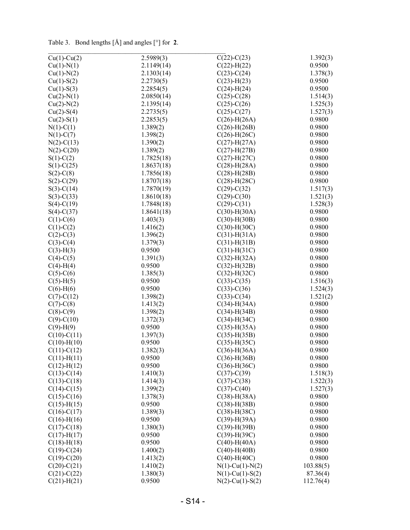Table 3. Bond lengths [Å] and angles [°] for **2**.

| $Cu(1)-Cu(2)$                    | 2.5989(3)          | $C(22) - C(23)$       | 1.392(3)  |
|----------------------------------|--------------------|-----------------------|-----------|
| $Cu(1)-N(1)$                     | 2.1149(14)         | $C(22)$ -H $(22)$     | 0.9500    |
| $Cu(1)-N(2)$                     | 2.1303(14)         | $C(23)-C(24)$         | 1.378(3)  |
| $Cu(1)-S(2)$                     | 2.2730(5)          | $C(23)$ -H $(23)$     | 0.9500    |
| $Cu(1)-S(3)$                     | 2.2854(5)          | $C(24)$ -H $(24)$     | 0.9500    |
| $Cu(2)-N(1)$                     | 2.0850(14)         | $C(25)-C(28)$         | 1.514(3)  |
| $Cu(2)-N(2)$                     | 2.1395(14)         | $C(25)-C(26)$         | 1.525(3)  |
| $Cu(2)-S(4)$                     | 2.2735(5)          | $C(25) - C(27)$       | 1.527(3)  |
| $Cu(2)-S(1)$                     | 2.2853(5)          | $C(26)$ -H $(26A)$    | 0.9800    |
| $N(1)-C(1)$                      | 1.389(2)           | $C(26)$ -H $(26B)$    | 0.9800    |
| $N(1)-C(7)$                      | 1.398(2)           | $C(26)$ -H $(26C)$    | 0.9800    |
| $N(2)-C(13)$                     | 1.390(2)           | $C(27)$ -H $(27A)$    | 0.9800    |
| $N(2)$ -C $(20)$                 | 1.389(2)           | $C(27)$ -H $(27B)$    | 0.9800    |
| $S(1)-C(2)$                      | 1.7825(18)         | $C(27)$ -H $(27C)$    | 0.9800    |
| $S(1)-C(25)$                     | 1.8637(18)         | $C(28)$ -H $(28A)$    | 0.9800    |
| $S(2)$ -C $(8)$                  | 1.7856(18)         | $C(28)$ -H $(28B)$    | 0.9800    |
| $S(2)$ -C(29)                    | 1.8707(18)         | $C(28)$ -H $(28C)$    | 0.9800    |
| $S(3)-C(14)$                     | 1.7870(19)         | $C(29) - C(32)$       | 1.517(3)  |
| $S(3)-C(33)$                     | 1.8610(18)         | $C(29) - C(30)$       | 1.521(3)  |
| $S(4)-C(19)$                     | 1.7848(18)         | $C(29) - C(31)$       | 1.528(3)  |
| $S(4)-C(37)$                     | 1.8641(18)         | $C(30)$ -H $(30A)$    | 0.9800    |
| $C(1)-C(6)$                      | 1.403(3)           | $C(30)$ -H $(30B)$    | 0.9800    |
| $C(1)-C(2)$                      | 1.416(2)           | $C(30)$ -H $(30C)$    | 0.9800    |
| $C(2)-C(3)$                      | 1.396(2)           | $C(31)$ -H $(31A)$    | 0.9800    |
| $C(3)-C(4)$                      | 1.379(3)           | $C(31)$ -H $(31B)$    | 0.9800    |
| $C(3)-H(3)$                      | 0.9500             | $C(31)$ -H $(31C)$    | 0.9800    |
| $C(4)-C(5)$                      | 1.391(3)           | $C(32)$ -H(32A)       | 0.9800    |
| $C(4)-H(4)$                      | 0.9500             | $C(32)$ -H $(32B)$    | 0.9800    |
| $C(5)-C(6)$                      | 1.385(3)           | $C(32)$ -H $(32C)$    | 0.9800    |
| $C(5)-H(5)$                      | 0.9500             | $C(33)-C(35)$         | 1.516(3)  |
| $C(6)-H(6)$                      | 0.9500             | $C(33)-C(36)$         | 1.524(3)  |
| $C(7)$ - $C(12)$                 | 1.398(2)           | $C(33)-C(34)$         | 1.521(2)  |
| $C(7)$ - $C(8)$                  | 1.413(2)           | $C(34)$ -H $(34A)$    | 0.9800    |
| $C(8) - C(9)$                    | 1.398(2)           | $C(34)$ -H $(34B)$    | 0.9800    |
| $C(9) - C(10)$                   | 1.372(3)           | $C(34)$ -H $(34C)$    | 0.9800    |
| $C(9)-H(9)$                      | 0.9500             | $C(35)$ -H(35A)       | 0.9800    |
| $C(10)-C(11)$                    | 1.397(3)           | $C(35)$ -H $(35B)$    | 0.9800    |
| $C(10)$ -H $(10)$                | 0.9500             | $C(35)$ -H $(35C)$    | 0.9800    |
| $C(11)-C(12)$                    | 1.382(3)           | $C(36)$ -H $(36A)$    | 0.9800    |
| $C(11)$ -H $(11)$                | 0.9500             | $C(36)$ -H $(36B)$    | 0.9800    |
| $C(12) - H(12)$                  | 0.9500             | $C(36)$ -H $(36C)$    | 0.9800    |
| $C(13)-C(14)$                    | 1.410(3)           | $C(37) - C(39)$       | 1.518(3)  |
| $C(13)-C(18)$                    | 1.414(3)           | $C(37) - C(38)$       | 1.522(3)  |
| $C(14)-C(15)$                    | 1.399(2)           | $C(37) - C(40)$       | 1.527(3)  |
| $C(15)-C(16)$                    | 1.378(3)           | $C(38) - H(38A)$      | 0.9800    |
| $C(15)$ -H $(15)$                | 0.9500             | $C(38) - H(38B)$      | 0.9800    |
| $C(16)-C(17)$                    | 1.389(3)           | $C(38) - H(38C)$      | 0.9800    |
| $C(16)$ -H $(16)$                | 0.9500             | $C(39)$ -H $(39A)$    | 0.9800    |
| $C(17) - C(18)$                  | 1.380(3)           | $C(39) - H(39B)$      | 0.9800    |
| $C(17)$ -H $(17)$                | 0.9500             | $C(39)$ -H $(39C)$    | 0.9800    |
| $C(18) - H(18)$                  | 0.9500             | $C(40)$ -H $(40A)$    | 0.9800    |
| $C(19)-C(24)$                    | 1.400(2)           | $C(40)$ -H $(40B)$    | 0.9800    |
| $C(19)-C(20)$                    | 1.413(2)           | $C(40)$ -H $(40C)$    | 0.9800    |
| $C(20)-C(21)$                    | 1.410(2)           | $N(1)$ -Cu(1)- $N(2)$ | 103.88(5) |
| $C(21)-C(22)$<br>$C(21) - H(21)$ | 1.380(3)<br>0.9500 | $N(1)$ -Cu(1)-S(2)    | 87.36(4)  |
|                                  |                    | $N(2)$ -Cu(1)-S(2)    | 112.76(4) |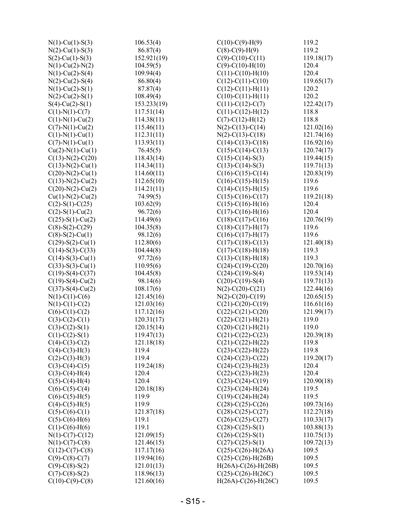| $N(1)$ -Cu(1)-S(3)                     | 106.53(4)                | $C(10)-C(9)-H(9)$          | 119.2      |
|----------------------------------------|--------------------------|----------------------------|------------|
| $N(2)$ -Cu(1)-S(3)                     | 86.87(4)                 | $C(8)-C(9)-H(9)$           | 119.2      |
| $S(2)$ -Cu(1)-S(3)                     | 152.921(19)              | $C(9)$ -C(10)-C(11)        | 119.18(17) |
| $N(1)$ -Cu(2)- $N(2)$                  | 104.59(5)                | $C(9)$ - $C(10)$ - $H(10)$ | 120.4      |
| $N(1)$ -Cu(2)-S(4)                     | 109.94(4)                | $C(11)-C(10)-H(10)$        | 120.4      |
| $N(2)$ -Cu(2)-S(4)                     | 86.80(4)                 | $C(12)-C(11)-C(10)$        | 119.65(17) |
| $N(1)$ -Cu(2)-S(1)                     | 87.87(4)                 | $C(12)-C(11)-H(11)$        | 120.2      |
| $N(2)$ -Cu(2)-S(1)                     | 108.49(4)                | $C(10)-C(11)-H(11)$        | 120.2      |
| $S(4)$ -Cu(2)-S(1)                     | 153.233(19)              | $C(11)-C(12)-C(7)$         | 122.42(17) |
| $C(1)-N(1)-C(7)$                       | 117.51(14)               | $C(11)-C(12)-H(12)$        | 118.8      |
| $C(1)-N(1)-Cu(2)$                      | 114.38(11)               | $C(7)$ - $C(12)$ - $H(12)$ | 118.8      |
| $C(7)-N(1)-Cu(2)$                      | 115.46(11)               | $N(2)-C(13)-C(14)$         | 121.02(16) |
| $C(1)$ -N(1)-Cu(1)                     | 112.31(11)               | $N(2)-C(13)-C(18)$         | 121.74(16) |
| $C(7)-N(1)-Cu(1)$                      | 113.93(11)               | $C(14)-C(13)-C(18)$        | 116.92(16) |
| $Cu(2)-N(1)-Cu(1)$                     | 76.45(5)                 | $C(15)-C(14)-C(13)$        | 120.74(17) |
| $C(13)-N(2)-C(20)$                     | 118.43(14)               | $C(15)-C(14)-S(3)$         | 119.44(15) |
| $C(13)-N(2)-Cu(1)$                     | 114.34(11)               | $C(13)-C(14)-S(3)$         | 119.71(13) |
| $C(20)$ -N(2)-Cu(1)                    | 114.60(11)               | $C(16)-C(15)-C(14)$        | 120.83(19) |
| $C(13)-N(2)-Cu(2)$                     | 112.65(10)               | $C(16)-C(15)-H(15)$        | 119.6      |
| $C(20)$ -N(2)-Cu(2)                    | 114.21(11)               | $C(14)-C(15)-H(15)$        | 119.6      |
| $Cu(1)-N(2)-Cu(2)$                     | 74.99(5)                 | $C(15)-C(16)-C(17)$        | 119.21(18) |
| $C(2)$ -S(1)-C(25)                     | 103.62(9)                | $C(15)-C(16)-H(16)$        | 120.4      |
| $C(2)$ -S(1)-Cu(2)                     | 96.72(6)                 | $C(17)-C(16)-H(16)$        | 120.4      |
| $C(25)$ -S(1)-Cu(2)                    | 114.49(6)                | $C(18)-C(17)-C(16)$        | 120.76(19) |
| $C(8)$ -S(2)-C(29)                     | 104.35(8)                | $C(18)-C(17)-H(17)$        | 119.6      |
| $C(8)$ -S(2)-Cu(1)                     | 98.12(6)                 | $C(16)-C(17)-H(17)$        | 119.6      |
| $C(29)$ -S(2)-Cu(1)                    | 112.80(6)                | $C(17)-C(18)-C(13)$        | 121.40(18) |
| $C(14)-S(3)-C(33)$                     | 104.44(8)                | $C(17)-C(18)-H(18)$        | 119.3      |
| $C(14)$ -S(3)-Cu(1)                    | 97.72(6)                 | $C(13)-C(18)-H(18)$        | 119.3      |
| $C(33)$ -S(3)-Cu(1)                    | 110.95(6)                | $C(24)-C(19)-C(20)$        | 120.70(16) |
| $C(19)$ -S(4)-C(37)                    | 104.45(8)                | $C(24)-C(19)-S(4)$         | 119.53(14) |
| $C(19)$ -S(4)-Cu(2)                    | 98.14(6)                 | $C(20)-C(19)-S(4)$         | 119.71(13) |
| $C(37)$ -S(4)-Cu(2)                    | 108.17(6)                | $N(2)$ -C(20)-C(21)        | 122.44(16) |
| $N(1)-C(1)-C(6)$                       | 121.45(16)               | $N(2)$ -C(20)-C(19)        | 120.65(15) |
| $N(1)-C(1)-C(2)$                       | 121.03(16)               | $C(21)$ -C(20)-C(19)       | 116.61(16) |
| $C(6)-C(1)-C(2)$                       | 117.12(16)               | $C(22)$ -C(21)-C(20)       | 121.99(17) |
| $C(3)-C(2)-C(1)$                       | 120.31(17)               | $C(22) - C(21) - H(21)$    | 119.0      |
| $C(3)-C(2)-S(1)$                       | 120.15(14)               | $C(20)-C(21)-H(21)$        | 119.0      |
| $C(1)$ -C(2)-S(1)                      | 119.47(13)               | $C(21)-C(22)-C(23)$        | 120.39(18) |
| $C(4)-C(3)-C(2)$                       | 121.18(18)               | $C(21) - C(22) - H(22)$    | 119.8      |
| $C(4)-C(3)-H(3)$                       | 119.4                    | $C(23)-C(22)-H(22)$        | 119.8      |
| $C(2)$ -C(3)-H(3)                      | 119.4                    | $C(24)-C(23)-C(22)$        | 119.20(17) |
| $C(3)-C(4)-C(5)$                       | 119.24(18)               | $C(24)-C(23)-H(23)$        | 120.4      |
| $C(3)-C(4)-H(4)$                       | 120.4                    | $C(22) - C(23) - H(23)$    | 120.4      |
| $C(5)-C(4)-H(4)$                       | 120.4                    | $C(23)-C(24)-C(19)$        | 120.90(18) |
| $C(6)-C(5)-C(4)$                       | 120.18(18)               | $C(23)-C(24)-H(24)$        | 119.5      |
| $C(6)-C(5)-H(5)$                       | 119.9                    | $C(19)-C(24)-H(24)$        | 119.5      |
| $C(4)-C(5)-H(5)$                       | 119.9                    | $C(28)-C(25)-C(26)$        | 109.73(16) |
| $C(5)-C(6)-C(1)$                       | 121.87(18)               | $C(28)-C(25)-C(27)$        | 112.27(18) |
| $C(5)-C(6)-H(6)$                       | 119.1                    | $C(26)-C(25)-C(27)$        | 110.33(17) |
| $C(1)-C(6)-H(6)$                       | 119.1                    | $C(28)-C(25)-S(1)$         | 103.88(13) |
| $N(1)-C(7)-C(12)$                      | 121.09(15)               | $C(26) - C(25) - S(1)$     | 110.75(13) |
| $N(1)-C(7)-C(8)$                       | 121.46(15)               | $C(27)$ -C $(25)$ -S $(1)$ | 109.72(13) |
|                                        |                          | $C(25)$ -C(26)-H(26A)      | 109.5      |
| $C(12)-C(7)-C(8)$<br>$C(9)$ -C(8)-C(7) | 117.17(16)<br>119.94(16) | $C(25)-C(26)-H(26B)$       | 109.5      |
| $C(9)$ -C(8)-S(2)                      | 121.01(13)               | $H(26A)-C(26)-H(26B)$      | 109.5      |
| $C(7)$ -C(8)-S(2)                      | 118.96(13)               | $C(25)-C(26)-H(26C)$       | 109.5      |
|                                        |                          | $H(26A)-C(26)-H(26C)$      | 109.5      |
| $C(10)-C(9)-C(8)$                      | 121.60(16)               |                            |            |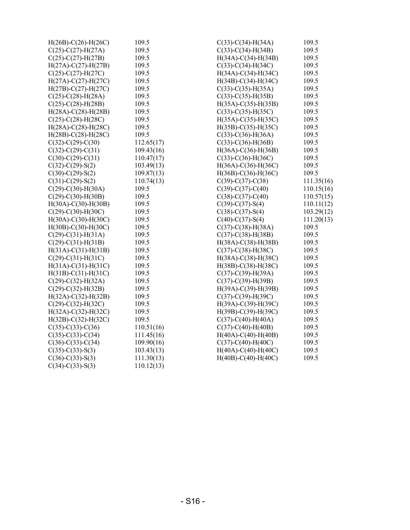| $H(26B) - C(26) - H(26C)$ | 109.5      | $C(33)-C(34)-H(34A)$         | 109.5      |
|---------------------------|------------|------------------------------|------------|
| $C(25)-C(27)-H(27A)$      | 109.5      | $C(33)-C(34)-H(34B)$         | 109.5      |
| $C(25) - C(27) - H(27B)$  | 109.5      | $H(34A)-C(34)-H(34B)$        | 109.5      |
| $H(27A)-C(27)-H(27B)$     | 109.5      | $C(33)-C(34)-H(34C)$         | 109.5      |
| $C(25)$ -C(27)-H(27C)     | 109.5      | $H(34A)-C(34)-H(34C)$        | 109.5      |
| $H(27A)-C(27)-H(27C)$     | 109.5      | $H(34B) - C(34) - H(34C)$    | 109.5      |
| $H(27B) - C(27) - H(27C)$ | 109.5      | $C(33)-C(35)-H(35A)$         | 109.5      |
| $C(25)$ -C(28)-H(28A)     | 109.5      | $C(33)-C(35)-H(35B)$         | 109.5      |
| $C(25)-C(28)-H(28B)$      | 109.5      | $H(35A) - C(35) - H(35B)$    | 109.5      |
| $H(28A)-C(28)-H(28B)$     | 109.5      | $C(33)-C(35)-H(35C)$         | 109.5      |
| $C(25)$ -C(28)-H(28C)     | 109.5      | $H(35A)-C(35)-H(35C)$        | 109.5      |
| $H(28A)-C(28)-H(28C)$     | 109.5      | $H(35B) - C(35) - H(35C)$    | 109.5      |
| $H(28B) - C(28) - H(28C)$ | 109.5      | $C(33)-C(36)-H(36A)$         | 109.5      |
| $C(32)$ -C(29)-C(30)      | 112.65(17) | $C(33)-C(36)-H(36B)$         | 109.5      |
| $C(32)$ -C(29)-C(31)      | 109.43(16) | $H(36A) - C(36) - H(36B)$    | 109.5      |
| $C(30)-C(29)-C(31)$       | 110.47(17) | $C(33)-C(36)-H(36C)$         | 109.5      |
| $C(32) - C(29) - S(2)$    | 103.49(13) | $H(36A)-C(36)-H(36C)$        | 109.5      |
| $C(30)$ - $C(29)$ -S(2)   | 109.87(13) | $H(36B) - C(36) - H(36C)$    | 109.5      |
| $C(31)-C(29)-S(2)$        | 110.74(13) | $C(39)-C(37)-C(38)$          | 111.35(16) |
| $C(29)$ -C(30)-H(30A)     | 109.5      | $C(39) - C(37) - C(40)$      | 110.15(16) |
| $C(29)$ -C(30)-H(30B)     | 109.5      | $C(38) - C(37) - C(40)$      | 110.57(15) |
| $H(30A)-C(30)-H(30B)$     | 109.5      | $C(39) - C(37) - S(4)$       | 110.11(12) |
| $C(29)$ -C(30)-H(30C)     | 109.5      | $C(38)-C(37)-S(4)$           | 103.29(12) |
| $H(30A) - C(30) - H(30C)$ | 109.5      | $C(40)$ -C $(37)$ -S $(4)$   | 111.20(13) |
| $H(30B) - C(30) - H(30C)$ | 109.5      | $C(37)-C(38)-H(38A)$         | 109.5      |
| $C(29)$ -C(31)-H(31A)     | 109.5      | $C(37)$ - $C(38)$ -H $(38B)$ | 109.5      |
| $C(29)$ -C(31)-H(31B)     | 109.5      | $H(38A) - C(38) - H(38B)$    | 109.5      |
| $H(31A)-C(31)-H(31B)$     | 109.5      | $C(37)-C(38)-H(38C)$         | 109.5      |
| $C(29)$ -C(31)-H(31C)     | 109.5      | $H(38A)-C(38)-H(38C)$        | 109.5      |
| $H(31A)-C(31)-H(31C)$     | 109.5      | $H(38B) - C(38) - H(38C)$    | 109.5      |
| $H(31B)-C(31)-H(31C)$     | 109.5      | $C(37)$ - $C(39)$ -H(39A)    | 109.5      |
| $C(29)$ -C(32)-H(32A)     | 109.5      | $C(37) - C(39) - H(39B)$     | 109.5      |
| $C(29)$ -C(32)-H(32B)     | 109.5      | $H(39A)-C(39)-H(39B)$        | 109.5      |
| $H(32A)-C(32)-H(32B)$     | 109.5      | $C(37)$ - $C(39)$ - $H(39C)$ | 109.5      |
| $C(29)$ -C(32)-H(32C)     | 109.5      | $H(39A)-C(39)-H(39C)$        | 109.5      |
| $H(32A)-C(32)-H(32C)$     | 109.5      | H(39B)-C(39)-H(39C)          | 109.5      |
| $H(32B) - C(32) - H(32C)$ | 109.5      | $C(37)$ -C(40)-H(40A)        | 109.5      |
| $C(35)-C(33)-C(36)$       | 110.51(16) | $C(37)$ - $C(40)$ - $H(40B)$ | 109.5      |
| $C(35)-C(33)-C(34)$       | 111.45(16) | $H(40A)-C(40)-H(40B)$        | 109.5      |
| $C(36)-C(33)-C(34)$       | 109.90(16) | $C(37)$ -C(40)-H(40C)        | 109.5      |
| $C(35)-C(33)-S(3)$        | 103.43(13) | $H(40A)-C(40)-H(40C)$        | 109.5      |
| $C(36)-C(33)-S(3)$        | 111.30(13) | $H(40B) - C(40) - H(40C)$    | 109.5      |
| $C(34)-C(33)-S(3)$        | 110.12(13) |                              |            |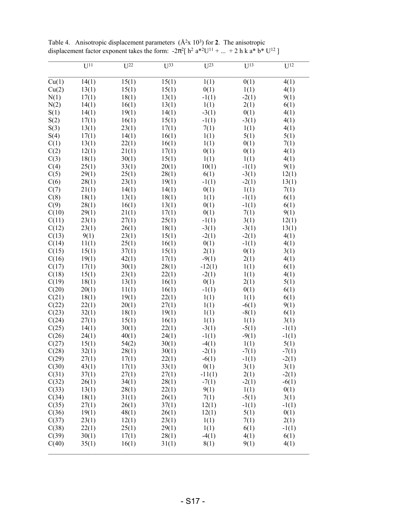|       | $\overline{U^{11}}$ | $\overline{U^{22}}$ | $\overline{U^{33}}$ | $\overline{U^{23}}$ | $\overline{U^{13}}$ | $\overline{U^{12}}$ |
|-------|---------------------|---------------------|---------------------|---------------------|---------------------|---------------------|
|       |                     |                     |                     |                     |                     |                     |
| Cu(1) | 14(1)               | 15(1)               | 15(1)               | 1(1)                | 0(1)                | 4(1)                |
| Cu(2) | 13(1)               | 15(1)               | 15(1)               | 0(1)                | 1(1)                | 4(1)                |
| N(1)  | 17(1)               | 18(1)               | 13(1)               | $-1(1)$             | $-2(1)$             | 9(1)                |
| N(2)  | 14(1)               | 16(1)               | 13(1)               | 1(1)                | 2(1)                | 6(1)                |
| S(1)  | 14(1)               | 19(1)               | 14(1)               | $-3(1)$             | 0(1)                | 4(1)                |
| S(2)  | 17(1)               | 16(1)               | 15(1)               | $-1(1)$             | $-3(1)$             | 4(1)                |
| S(3)  | 13(1)               | 23(1)               | 17(1)               | 7(1)                | 1(1)                | 4(1)                |
| S(4)  | 17(1)               | 14(1)               | 16(1)               | 1(1)                | 5(1)                | 5(1)                |
| C(1)  | 13(1)               | 22(1)               | 16(1)               | 1(1)                | 0(1)                | 7(1)                |
| C(2)  | 12(1)               | 21(1)               | 17(1)               | 0(1)                | 0(1)                | 4(1)                |
| C(3)  | 18(1)               | 30(1)               | 15(1)               | 1(1)                | 1(1)                | 4(1)                |
| C(4)  | 25(1)               | 33(1)               | 20(1)               | 10(1)               | $-1(1)$             | 9(1)                |
| C(5)  | 29(1)               | 25(1)               | 28(1)               | 6(1)                | $-3(1)$             | 12(1)               |
| C(6)  | 28(1)               | 23(1)               | 19(1)               | $-1(1)$             | $-2(1)$             | 13(1)               |
| C(7)  | 21(1)               | 14(1)               | 14(1)               | 0(1)                | 1(1)                | 7(1)                |
| C(8)  | 18(1)               | 13(1)               | 18(1)               | 1(1)                | $-1(1)$             | 6(1)                |
| C(9)  | 28(1)               | 16(1)               | 13(1)               | 0(1)                | $-1(1)$             | 6(1)                |
| C(10) | 29(1)               | 21(1)               | 17(1)               | 0(1)                | 7(1)                | 9(1)                |
| C(11) | 23(1)               | 27(1)               | 25(1)               | $-1(1)$             | 3(1)                | 12(1)               |
| C(12) | 23(1)               | 26(1)               | 18(1)               | $-3(1)$             | $-3(1)$             | 13(1)               |
| C(13) | 9(1)                | 23(1)               | 15(1)               | $-2(1)$             | $-2(1)$             | 4(1)                |
| C(14) | 11(1)               | 25(1)               | 16(1)               | 0(1)                | $-1(1)$             | 4(1)                |
| C(15) | 15(1)               | 37(1)               | 15(1)               | 2(1)                | 0(1)                | 3(1)                |
| C(16) | 19(1)               | 42(1)               | 17(1)               | $-9(1)$             | 2(1)                | 4(1)                |
| C(17) | 17(1)               | 30(1)               | 28(1)               | $-12(1)$            | 1(1)                | 6(1)                |
| C(18) | 15(1)               | 23(1)               | 22(1)               | $-2(1)$             | 1(1)                | 4(1)                |
| C(19) | 18(1)               | 13(1)               | 16(1)               | 0(1)                | 2(1)                | 5(1)                |
| C(20) | 20(1)               | 11(1)               | 16(1)               | $-1(1)$             | 0(1)                | 6(1)                |
| C(21) | 18(1)               | 19(1)               | 22(1)               | 1(1)                | 1(1)                | 6(1)                |
| C(22) | 22(1)               | 20(1)               | 27(1)               | 1(1)                | $-6(1)$             | 9(1)                |
| C(23) | 32(1)               | 18(1)               | 19(1)               | 1(1)                | $-8(1)$             | 6(1)                |
| C(24) | 27(1)               | 15(1)               | 16(1)               | 1(1)                | 1(1)                | 3(1)                |
| C(25) | 14(1)               | 30(1)               | 22(1)               | $-3(1)$             | $-5(1)$             | $-1(1)$             |
| C(26) | 24(1)               | 40(1)               | 24(1)               | $-1(1)$             | $-9(1)$             | $-1(1)$             |
| C(27) | 15(1)               | 54(2)               | 30(1)               | $-4(1)$             | 1(1)                | 5(1)                |
| C(28) | 32(1)               | 28(1)               | 30(1)               | $-2(1)$             | $-7(1)$             | $-7(1)$             |
| C(29) | 27(1)               | 17(1)               | 22(1)               | $-6(1)$             | $-1(1)$             | $-2(1)$             |
| C(30) | 43(1)               | 17(1)               | 33(1)               | 0(1)                | 3(1)                | 3(1)                |
| C(31) | 37(1)               | 27(1)               | 27(1)               | $-11(1)$            | 2(1)                | $-2(1)$             |
| C(32) | 26(1)               | 34(1)               | 28(1)               | $-7(1)$             | $-2(1)$             | $-6(1)$             |
| C(33) | 13(1)               | 28(1)               | 22(1)               | 9(1)                | 1(1)                | 0(1)                |
| C(34) | 18(1)               | 31(1)               | 26(1)               | 7(1)                | $-5(1)$             | 3(1)                |
| C(35) | 27(1)               | 26(1)               | 37(1)               | 12(1)               | $-1(1)$             | $-1(1)$             |
| C(36) | 19(1)               | 48(1)               | 26(1)               | 12(1)               | 5(1)                | 0(1)                |
| C(37) | 23(1)               | 12(1)               | 23(1)               | 1(1)                | 7(1)                | 2(1)                |
| C(38) | 22(1)               | 25(1)               | 29(1)               | 1(1)                | 6(1)                | $-1(1)$             |
| C(39) | 30(1)               | 17(1)               | 28(1)               | $-4(1)$             | 4(1)                | 6(1)                |
| C(40) | 35(1)               | 16(1)               | 31(1)               | 8(1)                | 9(1)                | 4(1)                |
|       |                     |                     |                     |                     |                     |                     |

Table 4. Anisotropic displacement parameters  $(\hat{A}^2 \times 10^3)$  for **2**. The anisotropic displacement factor exponent takes the form:  $-2\pi^2$ [ h<sup>2</sup> a<sup>\*2</sup>U<sup>11</sup> + ... + 2 h k a<sup>\*</sup> b<sup>\*</sup> U<sup>12</sup> ]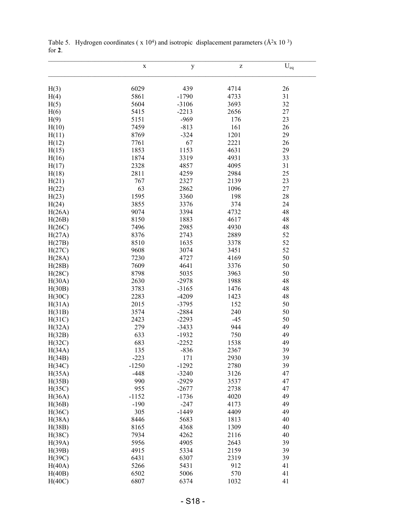|        | $\mathbf X$ | $\mathbf y$ | Z     | $\mathbf{U}_{\text{eq}}$ |
|--------|-------------|-------------|-------|--------------------------|
| H(3)   | 6029        | 439         | 4714  | 26                       |
| H(4)   | 5861        | $-1790$     | 4733  | 31                       |
| H(5)   | 5604        | $-3106$     | 3693  | 32                       |
| H(6)   | 5415        | $-2213$     | 2656  | 27                       |
| H(9)   | 5151        | $-969$      | 176   | 23                       |
| H(10)  | 7459        | $-813$      | 161   | 26                       |
| H(11)  | 8769        | $-324$      | 1201  | 29                       |
| H(12)  | 7761        | 67          | 2221  | 26                       |
| H(15)  | 1853        | 1153        | 4631  | 29                       |
| H(16)  | 1874        | 3319        | 4931  | 33                       |
| H(17)  | 2328        | 4857        | 4095  | 31                       |
|        | 2811        | 4259        | 2984  | 25                       |
| H(18)  |             |             |       |                          |
| H(21)  | 767<br>63   | 2327        | 2139  | 23                       |
| H(22)  |             | 2862        | 1096  | 27                       |
| H(23)  | 1595        | 3360        | 198   | 28                       |
| H(24)  | 3855        | 3376        | 374   | 24                       |
| H(26A) | 9074        | 3394        | 4732  | 48                       |
| H(26B) | 8150        | 1883        | 4617  | 48                       |
| H(26C) | 7496        | 2985        | 4930  | 48                       |
| H(27A) | 8376        | 2743        | 2889  | 52                       |
| H(27B) | 8510        | 1635        | 3378  | 52                       |
| H(27C) | 9608        | 3074        | 3451  | 52                       |
| H(28A) | 7230        | 4727        | 4169  | 50                       |
| H(28B) | 7609        | 4641        | 3376  | 50                       |
| H(28C) | 8798        | 5035        | 3963  | 50                       |
| H(30A) | 2630        | $-2978$     | 1988  | 48                       |
| H(30B) | 3783        | $-3165$     | 1476  | 48                       |
| H(30C) | 2283        | $-4209$     | 1423  | 48                       |
| H(31A) | 2015        | $-3795$     | 152   | 50                       |
| H(31B) | 3574        | $-2884$     | 240   | 50                       |
| H(31C) | 2423        | $-2293$     | $-45$ | 50                       |
| H(32A) | 279         | $-3433$     | 944   | 49                       |
| H(32B) | 633         | $-1932$     | 750   | 49                       |
| H(32C) | 683         | $-2252$     | 1538  | 49                       |
| H(34A) | 135         | $-836$      | 2367  | 39                       |
| H(34B) | $-223$      | 171         | 2930  | 39                       |
| H(34C) | $-1250$     | $-1292$     | 2780  | 39                       |
| H(35A) | $-448$      | $-3240$     | 3126  | 47                       |
| H(35B) | 990         | $-2929$     | 3537  | 47                       |
| H(35C) | 955         | $-2677$     | 2738  | 47                       |
| H(36A) | $-1152$     | $-1736$     | 4020  | 49                       |
| H(36B) | $-190$      | $-247$      | 4173  | 49                       |
| H(36C) | 305         | $-1449$     | 4409  | 49                       |
| H(38A) | 8446        | 5683        | 1813  | 40                       |
| H(38B) | 8165        | 4368        | 1309  | 40                       |
| H(38C) | 7934        | 4262        | 2116  | 40                       |
| H(39A) | 5956        | 4905        | 2643  | 39                       |
| H(39B) | 4915        | 5334        | 2159  | 39                       |
| H(39C) | 6431        | 6307        | 2319  | 39                       |
| H(40A) | 5266        | 5431        | 912   | 41                       |
| H(40B) | 6502        | 5006        | 570   | 41                       |
| H(40C) | 6807        | 6374        | 1032  | 41                       |

Table 5. Hydrogen coordinates ( $x 10<sup>4</sup>$ ) and isotropic displacement parameters ( $\AA$ <sup>2</sup>x 10<sup>3</sup>) for **2**.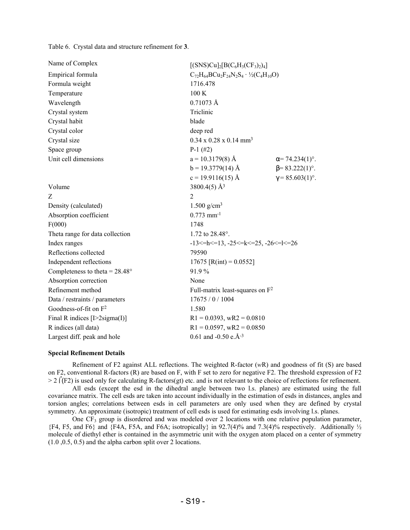Table 6. Crystal data and structure refinement for **3**.

| Name of Complex                         | $[(SNS)Cu]_2[B(C_6H_3(CF_3)_2)_4]$                            |                         |
|-----------------------------------------|---------------------------------------------------------------|-------------------------|
| Empirical formula                       | $C_{72}H_{64}BCu_2F_{24}N_2S_4 \cdot \frac{1}{2}(C_4H_{10}O)$ |                         |
| Formula weight                          | 1716.478                                                      |                         |
| Temperature                             | 100K                                                          |                         |
| Wavelength                              | $0.71073$ Å                                                   |                         |
| Crystal system                          | Triclinic                                                     |                         |
| Crystal habit                           | blade                                                         |                         |
| Crystal color                           | deep red                                                      |                         |
| Crystal size                            | $0.34 \times 0.28 \times 0.14$ mm <sup>3</sup>                |                         |
| Space group                             | $P-1$ (#2)                                                    |                         |
| Unit cell dimensions                    | $a = 10.3179(8)$ Å                                            | $\alpha$ = 74.234(1)°.  |
|                                         | $b = 19.3779(14)$ Å                                           | $\beta$ = 83.222(1)°.   |
|                                         | $c = 19.9116(15)$ Å                                           | $\gamma = 85.603(1)$ °. |
| Volume                                  | 3800.4(5) Å <sup>3</sup>                                      |                         |
| Z                                       | $\overline{2}$                                                |                         |
| Density (calculated)                    | 1.500 $g/cm^3$                                                |                         |
| Absorption coefficient                  | $0.773$ mm <sup>-1</sup>                                      |                         |
| F(000)                                  | 1748                                                          |                         |
| Theta range for data collection         | 1.72 to 28.48°.                                               |                         |
| Index ranges                            | $-13 \le h \le 13$ , $-25 \le k \le 25$ , $-26 \le k \le 26$  |                         |
| Reflections collected                   | 79590                                                         |                         |
| Independent reflections                 | 17675 [R(int) = $0.0552$ ]                                    |                         |
| Completeness to theta = $28.48^{\circ}$ | 91.9%                                                         |                         |
| Absorption correction                   | None                                                          |                         |
| Refinement method                       | Full-matrix least-squares on $F^2$                            |                         |
| Data / restraints / parameters          | 17675 / 0 / 1004                                              |                         |
| Goodness-of-fit on F <sup>2</sup>       | 1.580                                                         |                         |
| Final R indices $[I>2$ sigma $(I)$ ]    | $R1 = 0.0393$ , wR2 = 0.0810                                  |                         |
| R indices (all data)                    | $R1 = 0.0597$ , wR2 = 0.0850                                  |                         |
| Largest diff. peak and hole             | 0.61 and -0.50 e. $A^{-3}$                                    |                         |

#### **Special Refinement Details**

Refinement of F2 against ALL reflections. The weighted R-factor (*w*R) and goodness of fit (S) are based on F2, conventional R-factors (R) are based on F, with F set to zero for negative F2. The threshold expression of F2  $> 2$  (F2) is used only for calculating R-factors(gt) etc. and is not relevant to the choice of reflections for refinement.

All esds (except the esd in the dihedral angle between two l.s. planes) are estimated using the full covariance matrix. The cell esds are taken into account individually in the estimation of esds in distances, angles and torsion angles; correlations between esds in cell parameters are only used when they are defined by crystal symmetry. An approximate (isotropic) treatment of cell esds is used for estimating esds involving l.s. planes.

One  $CF_3$  group is disordered and was modeled over 2 locations with one relative population parameter, {F4, F5, and F6} and {F4A, F5A, and F6A; isotropically} in 92.7(4)% and 7.3(4)% respectively. Additionally ½ molecule of diethyl ether is contained in the asymmetric unit with the oxygen atom placed on a center of symmetry (1.0 ,0.5, 0.5) and the alpha carbon split over 2 locations.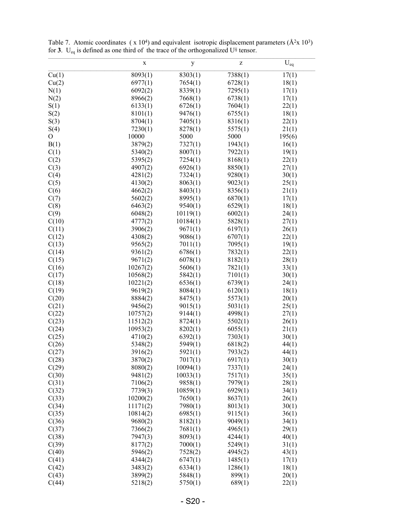|                | X        |          | Z       |          |
|----------------|----------|----------|---------|----------|
|                |          | y        |         | $U_{eq}$ |
| Cu(1)          | 8093(1)  | 8303(1)  | 7388(1) | 17(1)    |
| Cu(2)          | 6977(1)  | 7654(1)  | 6728(1) | 18(1)    |
| N(1)           | 6092(2)  | 8339(1)  | 7295(1) | 17(1)    |
| N(2)           | 8966(2)  | 7668(1)  | 6738(1) | 17(1)    |
| S(1)           | 6133(1)  | 6726(1)  | 7604(1) | 22(1)    |
| S(2)           | 8101(1)  | 9476(1)  | 6755(1) | 18(1)    |
| S(3)           | 8704(1)  | 7405(1)  | 8316(1) | 22(1)    |
| S(4)           | 7230(1)  | 8278(1)  | 5575(1) | 21(1)    |
| $\overline{O}$ | 10000    | 5000     | 5000    | 195(6)   |
| B(1)           | 3879(2)  | 7327(1)  | 1943(1) | 16(1)    |
| C(1)           | 5340(2)  | 8007(1)  | 7922(1) | 19(1)    |
| C(2)           | 5395(2)  | 7254(1)  | 8168(1) | 22(1)    |
| C(3)           | 4907(2)  | 6926(1)  | 8850(1) | 27(1)    |
| C(4)           | 4281(2)  | 7324(1)  | 9280(1) | 30(1)    |
| C(5)           | 4130(2)  | 8063(1)  | 9023(1) | 25(1)    |
| C(6)           | 4662(2)  | 8403(1)  | 8356(1) | 21(1)    |
| C(7)           | 5602(2)  | 8995(1)  | 6870(1) | 17(1)    |
| C(8)           | 6463(2)  | 9540(1)  | 6529(1) | 18(1)    |
| C(9)           | 6048(2)  | 10119(1) | 6002(1) | 24(1)    |
| C(10)          | 4777(2)  | 10184(1) | 5828(1) | 27(1)    |
| C(11)          | 3906(2)  | 9671(1)  | 6197(1) | 26(1)    |
| C(12)          | 4308(2)  | 9086(1)  | 6707(1) | 22(1)    |
| C(13)          | 9565(2)  | 7011(1)  | 7095(1) | 19(1)    |
| C(14)          | 9361(2)  | 6786(1)  | 7832(1) | 22(1)    |
| C(15)          | 9671(2)  | 6078(1)  | 8182(1) | 28(1)    |
| C(16)          | 10267(2) | 5606(1)  | 7821(1) | 33(1)    |
| C(17)          | 10568(2) | 5842(1)  | 7101(1) | 30(1)    |
| C(18)          | 10221(2) | 6536(1)  | 6739(1) | 24(1)    |
| C(19)          | 9619(2)  | 8084(1)  | 6120(1) | 18(1)    |
| C(20)          | 8884(2)  | 8475(1)  | 5573(1) | 20(1)    |
| C(21)          | 9456(2)  | 9015(1)  | 5031(1) | 25(1)    |
| C(22)          | 10757(2) | 9144(1)  | 4998(1) | 27(1)    |
| C(23)          | 11512(2) | 8724(1)  | 5502(1) | 26(1)    |
| C(24)          | 10953(2) | 8202(1)  | 6055(1) | 21(1)    |
| C(25)          | 4710(2)  | 6392(1)  | 7303(1) | 30(1)    |
| C(26)          | 5348(2)  | 5949(1)  | 6818(2) | 44(1)    |
| C(27)          | 3916(2)  | 5921(1)  | 7933(2) | 44(1)    |
| C(28)          | 3870(2)  | 7017(1)  | 6917(1) | 30(1)    |
| C(29)          | 8080(2)  | 10094(1) | 7337(1) | 24(1)    |
| C(30)          | 9481(2)  | 10033(1) | 7517(1) | 35(1)    |
| C(31)          | 7106(2)  | 9858(1)  | 7979(1) | 28(1)    |
| C(32)          | 7739(3)  | 10859(1) | 6929(1) | 34(1)    |
| C(33)          | 10200(2) | 7650(1)  | 8637(1) | 26(1)    |
| C(34)          | 11171(2) | 7980(1)  | 8013(1) | 30(1)    |
| C(35)          | 10814(2) | 6985(1)  | 9115(1) | 36(1)    |
| C(36)          | 9680(2)  | 8182(1)  | 9049(1) | 34(1)    |
| C(37)          | 7366(2)  | 7681(1)  | 4965(1) | 29(1)    |
| C(38)          | 7947(3)  | 8093(1)  | 4244(1) | 40(1)    |
| C(39)          | 8177(2)  | 7000(1)  | 5249(1) | 31(1)    |
| C(40)          | 5946(2)  | 7528(2)  | 4945(2) | 43(1)    |
| C(41)          | 4344(2)  | 6747(1)  | 1485(1) | 17(1)    |
| C(42)          | 3483(2)  | 6334(1)  | 1286(1) | 18(1)    |
| C(43)          | 3899(2)  | 5848(1)  | 899(1)  | 20(1)    |
| C(44)          | 5218(2)  | 5750(1)  | 689(1)  | 22(1)    |

Table 7. Atomic coordinates ( $x 10^4$ ) and equivalent isotropic displacement parameters ( $A^2x 10^3$ ) for **3**.  $U_{eq}$  is defined as one third of the trace of the orthogonalized  $U^{ij}$  tensor.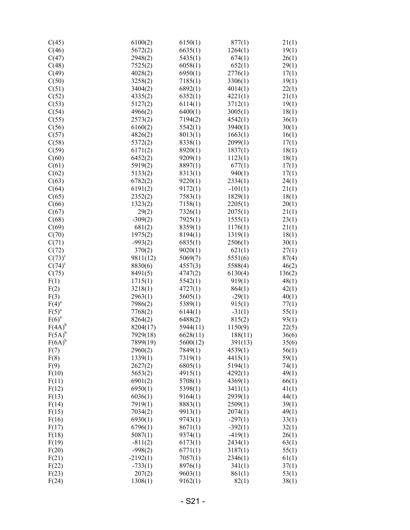| C(45)                | 6100(2)    | 6150(1)  | 877(1)    | 21(1)  |
|----------------------|------------|----------|-----------|--------|
| C(46)                | 5672(2)    | 6635(1)  | 1264(1)   | 19(1)  |
| C(47)                | 2948(2)    | 5435(1)  | 674(1)    | 26(1)  |
| C(48)                | 7525(2)    | 6058(1)  | 652(1)    | 29(1)  |
| C(49)                | 4028(2)    | 6950(1)  | 2776(1)   | 17(1)  |
| C(50)                |            | 7185(1)  |           |        |
|                      | 3258(2)    |          | 3306(1)   | 19(1)  |
| C(51)                | 3404(2)    | 6892(1)  | 4014(1)   | 22(1)  |
| C(52)                | 4335(2)    | 6352(1)  | 4221(1)   | 21(1)  |
| C(53)                | 5127(2)    | 6114(1)  | 3712(1)   | 19(1)  |
| C(54)                | 4966(2)    | 6400(1)  | 3005(1)   | 18(1)  |
| C(55)                | 2573(2)    | 7194(2)  | 4542(1)   | 36(1)  |
| C(56)                | 6160(2)    | 5542(1)  | 3940(1)   | 30(1)  |
| C(57)                | 4826(2)    | 8013(1)  | 1663(1)   | 16(1)  |
| C(58)                | 5372(2)    | 8338(1)  | 2099(1)   | 17(1)  |
| C(59)                | 6171(2)    | 8920(1)  | 1837(1)   | 18(1)  |
| C(60)                | 6452(2)    | 9209(1)  | 1123(1)   | 18(1)  |
| C(61)                | 5919(2)    | 8897(1)  | 677(1)    | 17(1)  |
| C(62)                | 5133(2)    | 8313(1)  | 940(1)    | 17(1)  |
| C(63)                | 6782(2)    | 9220(1)  | 2334(1)   | 24(1)  |
| C(64)                | 6191(2)    | 9172(1)  | $-101(1)$ | 21(1)  |
| C(65)                | 2352(2)    | 7583(1)  | 1829(1)   |        |
|                      |            |          |           | 18(1)  |
| C(66)                | 1323(2)    | 7158(1)  | 2205(1)   | 20(1)  |
| C(67)                | 29(2)      | 7326(1)  | 2075(1)   | 21(1)  |
| C(68)                | $-309(2)$  | 7925(1)  | 1555(1)   | 23(1)  |
| C(69)                | 681(2)     | 8359(1)  | 1176(1)   | 21(1)  |
| C(70)                | 1975(2)    | 8194(1)  | 1319(1)   | 18(1)  |
| C(71)                | $-993(2)$  | 6835(1)  | 2506(1)   | 30(1)  |
| C(72)                | 370(2)     | 9020(1)  | 621(1)    | 27(1)  |
| $C(73)^c$            | 9811(12)   | 5069(7)  | 5551(6)   | 87(4)  |
| $C(74)$ <sup>c</sup> | 8830(6)    | 4557(3)  | 5588(4)   | 46(2)  |
| C(75)                | 8491(5)    | 4747(2)  | 6130(4)   | 136(2) |
| F(1)                 | 1715(1)    | 5542(1)  | 919(1)    | 48(1)  |
| F(2)                 | 3218(1)    | 4727(1)  | 864(1)    | 42(1)  |
| F(3)                 | 2963(1)    | 5605(1)  | $-29(1)$  | 40(1)  |
| F(4) <sup>a</sup>    | 7986(2)    | 5389(1)  | 915(1)    | 77(1)  |
| $F(5)^a$             | 7768(2)    | 6144(1)  | $-31(1)$  | 55(1)  |
| F(6) <sup>a</sup>    | 8264(2)    | 6488(2)  | 815(2)    | 93(1)  |
| $F(4A)^b$            | 8204(17)   | 5944(11) | 1150(9)   | 22(5)  |
| $F(5A)^b$            | 7929(18)   |          |           |        |
|                      |            | 6628(11) | 188(11)   | 36(6)  |
| $F(6A)^b$            | 7899(19)   | 5600(12) | 391(13)   | 35(6)  |
| F(7)                 | 2960(2)    | 7849(1)  | 4539(1)   | 56(1)  |
| F(8)                 | 1339(1)    | 7319(1)  | 4415(1)   | 59(1)  |
| F(9)                 | 2627(2)    | 6805(1)  | 5194(1)   | 74(1)  |
| F(10)                | 5653(2)    | 4915(1)  | 4292(1)   | 49(1)  |
| F(11)                | 6901(2)    | 5708(1)  | 4369(1)   | 66(1)  |
| F(12)                | 6950(1)    | 5398(1)  | 3411(1)   | 41(1)  |
| F(13)                | 6036(1)    | 9164(1)  | 2939(1)   | 44(1)  |
| F(14)                | 7919(1)    | 8883(1)  | 2509(1)   | 39(1)  |
| F(15)                | 7034(2)    | 9913(1)  | 2074(1)   | 49(1)  |
| F(16)                | 6930(1)    | 9743(1)  | $-297(1)$ | 33(1)  |
| F(17)                | 6796(1)    | 8671(1)  | $-392(1)$ | 32(1)  |
| F(18)                | 5087(1)    | 9374(1)  | $-419(1)$ | 26(1)  |
| F(19)                | $-811(2)$  | 6173(1)  | 2434(1)   | 63(1)  |
| F(20)                | $-998(2)$  | 6771(1)  | 3187(1)   | 55(1)  |
| F(21)                | $-2192(1)$ | 7057(1)  | 2346(1)   | 61(1)  |
| F(22)                | $-733(1)$  | 8976(1)  | 341(1)    | 37(1)  |
| F(23)                | 207(2)     | 9603(1)  | 861(1)    | 53(1)  |
| F(24)                |            |          |           |        |
|                      | 1308(1)    | 9162(1)  | 82(1)     | 38(1)  |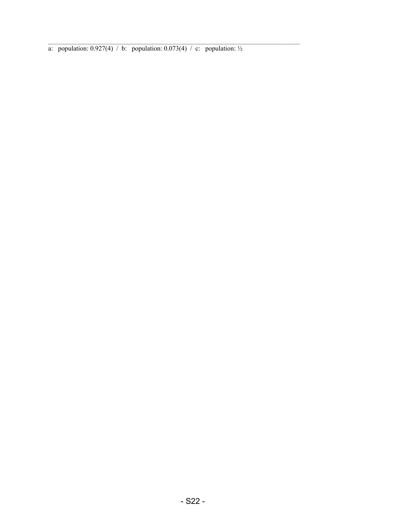a: population:  $0.927(4)$  / b: population:  $0.073(4)$  / c: population:  $\frac{1}{2}$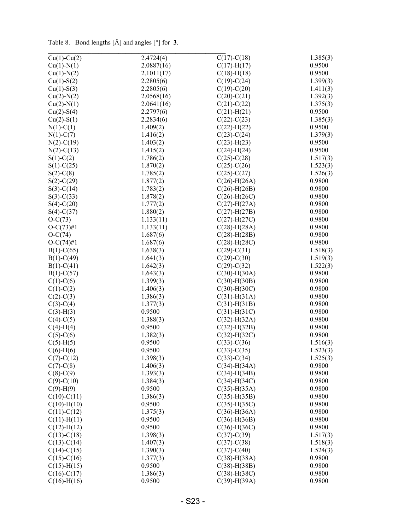Tab le 8 . Bond lengths [Å] and ang les [ °] for **3**.

| $Cu(1)-Cu(2)$             | 2.4724(4)            | $C(17)-C(18)$      | 1.385(3) |
|---------------------------|----------------------|--------------------|----------|
| $Cu(1)-N(1)$              | 2.0887(16)           | $C(17)$ -H $(17)$  | 0.9500   |
| $Cu(1)-N(2)$              | 2.1011(17)           | $C(18)$ -H $(18)$  | 0.9500   |
| $Cu(1)-S(2)$              | 2.2805(6)            | $C(19)-C(24)$      | 1.399(3) |
| $Cu(1) - S(3)$            | 2.2805(6)            | $C(19)-C(20)$      | 1.411(3) |
| $Cu(2)-N(2)$              | 2.0568(16)           | $C(20)-C(21)$      | 1.392(3) |
| $Cu(2)-N(1)$              | 2.0641(16)           | $C(21)-C(22)$      | 1.375(3) |
| $Cu(2)-S(4)$              | 2.2797(6)            | $C(21)$ -H $(21)$  | 0.9500   |
| $Cu(2)-S(1)$              | 2.2834(6)            | $C(22) - C(23)$    | 1.385(3) |
| $N(1)-C(1)$               | 1.409(2)             | $C(22)$ -H $(22)$  | 0.9500   |
| $N(1)-C(7)$               | 1.416(2)             | $C(23)-C(24)$      | 1.379(3) |
| $N(2) - C(19)$            | 1.403(2)             | $C(23)$ -H $(23)$  | 0.9500   |
| $N(2)-C(13)$              | 1.415(2)             | $C(24)$ -H $(24)$  | 0.9500   |
| $S(1)-C(2)$               | 1.786(2)             | $C(25)-C(28)$      | 1.517(3) |
| $S(1)-C(25)$              | 1.870(2)             | $C(25)-C(26)$      | 1.523(3) |
| $S(2)$ -C $(8)$           | 1.785(2)             | $C(25)-C(27)$      | 1.526(3) |
| $S(2)$ -C(29)             | 1.877(2)             | $C(26)$ -H $(26A)$ | 0.9800   |
| $S(3)-C(14)$              | 1.783(2)             | $C(26)$ -H $(26B)$ | 0.9800   |
| $S(3)-C(33)$              | 1.878(2)             | $C(26)$ -H $(26C)$ | 0.9800   |
| $S(4)-C(20)$              | 1.777(2)             | $C(27)$ -H $(27A)$ | 0.9800   |
| $S(4)-C(37)$              | 1.880(2)             | $C(27)$ -H $(27B)$ | 0.9800   |
| $O-C(73)$                 | 1.133(11)            | $C(27)$ -H $(27C)$ | 0.9800   |
| $O-C(73)$ #1              | 1.133(11)            | $C(28)$ -H $(28A)$ | 0.9800   |
|                           |                      |                    | 0.9800   |
| $O-C(74)$<br>$O-C(74)$ #1 | 1.687(6)<br>1.687(6) | $C(28) - H(28B)$   | 0.9800   |
|                           |                      | $C(28)$ -H $(28C)$ |          |
| $B(1)-C(65)$              | 1.638(3)             | $C(29) - C(31)$    | 1.518(3) |
| $B(1)-C(49)$              | 1.641(3)             | $C(29) - C(30)$    | 1.519(3) |
| $B(1)-C(41)$              | 1.642(3)             | $C(29) - C(32)$    | 1.522(3) |
| $B(1)-C(57)$              | 1.643(3)             | $C(30)$ -H $(30A)$ | 0.9800   |
| $C(1)-C(6)$               | 1.399(3)             | $C(30)$ -H $(30B)$ | 0.9800   |
| $C(1)-C(2)$               | 1.406(3)             | $C(30)$ -H $(30C)$ | 0.9800   |
| $C(2)-C(3)$               | 1.386(3)             | $C(31)$ -H $(31A)$ | 0.9800   |
| $C(3)-C(4)$               | 1.377(3)             | $C(31)$ -H $(31B)$ | 0.9800   |
| $C(3)-H(3)$               | 0.9500               | $C(31)$ -H $(31C)$ | 0.9800   |
| $C(4)-C(5)$               | 1.388(3)             | $C(32)$ -H $(32A)$ | 0.9800   |
| $C(4)-H(4)$               | 0.9500               | $C(32)$ -H $(32B)$ | 0.9800   |
| $C(5)-C(6)$               | 1.382(3)             | $C(32)$ -H $(32C)$ | 0.9800   |
| $C(5)-H(5)$               | 0.9500               | $C(33)-C(36)$      | 1.516(3) |
| $C(6)-H(6)$               | 0.9500               | $C(33)-C(35)$      | 1.523(3) |
| $C(7) - C(12)$            | 1.398(3)             | $C(33)-C(34)$      | 1.525(3) |
| $C(7)$ - $C(8)$           | 1.406(3)             | $C(34)$ -H $(34A)$ | 0.9800   |
| $C(8)-C(9)$               | 1.393(3)             | $C(34)$ -H $(34B)$ | 0.9800   |
| $C(9) - C(10)$            | 1.384(3)             | $C(34)$ -H $(34C)$ | 0.9800   |
| $C(9)-H(9)$               | 0.9500               | $C(35)$ -H $(35A)$ | 0.9800   |
| $C(10)-C(11)$             | 1.386(3)             | $C(35)$ -H $(35B)$ | 0.9800   |
| $C(10)$ -H $(10)$         | 0.9500               | $C(35)$ -H $(35C)$ | 0.9800   |
| $C(11)-C(12)$             | 1.375(3)             | $C(36)$ -H $(36A)$ | 0.9800   |
| $C(11) - H(11)$           | 0.9500               | $C(36) - H(36B)$   | 0.9800   |
| $C(12) - H(12)$           | 0.9500               | $C(36)$ -H(36C)    | 0.9800   |
| $C(13)-C(18)$             | 1.398(3)             | $C(37) - C(39)$    | 1.517(3) |
| $C(13)-C(14)$             | 1.407(3)             | $C(37) - C(38)$    | 1.518(3) |
| $C(14)-C(15)$             | 1.390(3)             | $C(37) - C(40)$    | 1.524(3) |
| $C(15)-C(16)$             | 1.377(3)             | $C(38)$ -H $(38A)$ | 0.9800   |
| $C(15)$ -H $(15)$         | 0.9500               | $C(38)$ -H $(38B)$ | 0.9800   |
| $C(16)-C(17)$             | 1.386(3)             | $C(38)$ -H $(38C)$ | 0.9800   |
| $C(16) - H(16)$           | 0.9500               | $C(39) - H(39A)$   | 0.9800   |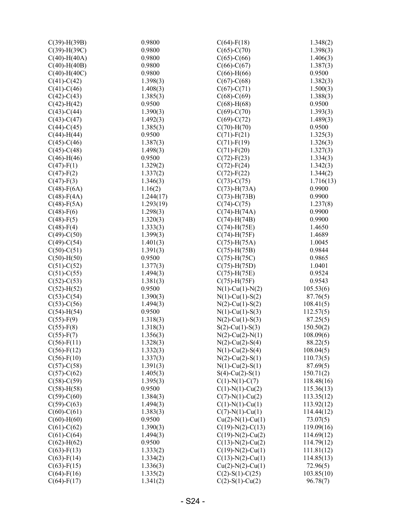| $C(39)$ -H $(39B)$ | 0.9800    | $C(64)$ -F(18)        | 1.348(2)   |
|--------------------|-----------|-----------------------|------------|
| $C(39)$ -H $(39C)$ | 0.9800    | $C(65)-C(70)$         | 1.398(3)   |
| $C(40)$ -H $(40A)$ | 0.9800    | $C(65) - C(66)$       | 1.406(3)   |
| $C(40)$ -H $(40B)$ | 0.9800    | $C(66)$ - $C(67)$     | 1.387(3)   |
| $C(40)$ -H $(40C)$ | 0.9800    | $C(66)$ -H $(66)$     | 0.9500     |
| $C(41) - C(42)$    | 1.398(3)  | $C(67)$ -C $(68)$     | 1.382(3)   |
| $C(41) - C(46)$    | 1.408(3)  | $C(67) - C(71)$       | 1.500(3)   |
| $C(42) - C(43)$    | 1.385(3)  | $C(68)$ - $C(69)$     | 1.388(3)   |
| $C(42)$ -H $(42)$  | 0.9500    | $C(68)$ -H $(68)$     | 0.9500     |
| $C(43) - C(44)$    | 1.390(3)  | $C(69) - C(70)$       | 1.393(3)   |
| $C(43) - C(47)$    | 1.492(3)  | $C(69) - C(72)$       | 1.489(3)   |
| $C(44) - C(45)$    | 1.385(3)  | $C(70)$ -H $(70)$     | 0.9500     |
| $C(44)$ -H $(44)$  | 0.9500    | $C(71)$ -F(21)        | 1.325(3)   |
| $C(45) - C(46)$    | 1.387(3)  | $C(71)$ -F(19)        | 1.326(3)   |
| $C(45) - C(48)$    | 1.498(3)  | $C(71)$ -F $(20)$     | 1.327(3)   |
| $C(46)$ -H $(46)$  | 0.9500    | $C(72) - F(23)$       | 1.334(3)   |
| $C(47) - F(1)$     | 1.329(2)  | $C(72)$ -F $(24)$     | 1.342(3)   |
|                    | 1.337(2)  |                       | 1.344(2)   |
| $C(47) - F(2)$     | 1.346(3)  | $C(72)$ -F(22)        |            |
| $C(47) - F(3)$     |           | $C(73)-C(75)$         | 1.716(13)  |
| $C(48)$ -F(6A)     | 1.16(2)   | $C(73)$ -H $(73A)$    | 0.9900     |
| $C(48)$ -F(4A)     | 1.244(17) | $C(73)$ -H $(73B)$    | 0.9900     |
| $C(48)$ -F $(5A)$  | 1.293(19) | $C(74)-C(75)$         | 1.237(8)   |
| $C(48) - F(6)$     | 1.298(3)  | $C(74)$ -H $(74A)$    | 0.9900     |
| $C(48) - F(5)$     | 1.320(3)  | $C(74)$ -H $(74B)$    | 0.9900     |
| $C(48) - F(4)$     | 1.333(3)  | $C(74)$ -H $(75E)$    | 1.4650     |
| $C(49) - C(50)$    | 1.399(3)  | $C(74)$ -H $(75F)$    | 1.4689     |
| $C(49) - C(54)$    | 1.401(3)  | $C(75)$ -H $(75A)$    | 1.0045     |
| $C(50)-C(51)$      | 1.391(3)  | $C(75)$ -H $(75B)$    | 0.9844     |
| $C(50)$ -H $(50)$  | 0.9500    | $C(75)$ -H $(75C)$    | 0.9865     |
| $C(51)-C(52)$      | 1.377(3)  | $C(75)$ -H $(75D)$    | 1.0401     |
| $C(51)-C(55)$      | 1.494(3)  | $C(75)$ -H $(75E)$    | 0.9524     |
| $C(52) - C(53)$    | 1.381(3)  | $C(75)$ -H $(75F)$    | 0.9543     |
| $C(52)$ -H $(52)$  | 0.9500    | $N(1)$ -Cu(1)- $N(2)$ | 105.53(6)  |
| $C(53)-C(54)$      | 1.390(3)  | $N(1)$ -Cu(1)-S(2)    | 87.76(5)   |
| $C(53)-C(56)$      | 1.494(3)  | $N(2)$ -Cu(1)-S(2)    | 108.41(5)  |
| $C(54)$ -H $(54)$  | 0.9500    | $N(1)$ -Cu(1)-S(3)    | 112.57(5)  |
| $C(55) - F(9)$     | 1.318(3)  | $N(2)$ -Cu(1)-S(3)    | 87.25(5)   |
| $C(55)$ -F(8)      | 1.318(3)  | $S(2)$ -Cu(1)-S(3)    | 150.50(2)  |
| $C(55)$ -F(7)      | 1.356(3)  | $N(2)$ -Cu(2)- $N(1)$ | 108.09(6)  |
| $C(56)$ -F(11)     | 1.328(3)  | $N(2)$ -Cu(2)-S(4)    | 88.22(5)   |
| $C(56)$ -F(12)     | 1.332(3)  | $N(1)$ -Cu(2)-S(4)    | 108.04(5)  |
| $C(56) - F(10)$    | 1.337(3)  | $N(2)$ -Cu(2)-S(1)    | 110.73(5)  |
| $C(57) - C(58)$    | 1.391(3)  | $N(1)$ -Cu(2)-S(1)    | 87.69(5)   |
| $C(57)$ - $C(62)$  | 1.405(3)  | $S(4)$ -Cu(2)-S(1)    | 150.71(2)  |
| $C(58) - C(59)$    | 1.395(3)  | $C(1)-N(1)-C(7)$      | 118.48(16) |
| $C(58)-H(58)$      | 0.9500    | $C(1)-N(1)-Cu(2)$     | 115.36(13) |
| $C(59) - C(60)$    | 1.384(3)  | $C(7)-N(1)-Cu(2)$     | 113.35(12) |
| $C(59) - C(63)$    | 1.494(3)  | $C(1)$ -N(1)-Cu(1)    | 113.92(12) |
| $C(60)$ - $C(61)$  | 1.383(3)  | $C(7)-N(1)-Cu(1)$     | 114.44(12) |
| $C(60)$ -H $(60)$  | 0.9500    | $Cu(2)-N(1)-Cu(1)$    | 73.07(5)   |
|                    |           |                       |            |
| $C(61) - C(62)$    | 1.390(3)  | $C(19)-N(2)-C(13)$    | 119.09(16) |
| $C(61) - C(64)$    | 1.494(3)  | $C(19)-N(2)-Cu(2)$    | 114.69(12) |
| $C(62)$ -H $(62)$  | 0.9500    | $C(13)-N(2)-Cu(2)$    | 114.79(12) |
| $C(63)$ -F(13)     | 1.333(2)  | $C(19)-N(2)-Cu(1)$    | 111.81(12) |
| $C(63)$ -F(14)     | 1.334(2)  | $C(13)-N(2)-Cu(1)$    | 114.85(13) |
| $C(63)$ -F(15)     | 1.336(3)  | $Cu(2)-N(2)-Cu(1)$    | 72.96(5)   |
| $C(64)$ -F(16)     | 1.335(2)  | $C(2)$ -S(1)-C(25)    | 103.85(10) |
| $C(64)$ -F(17)     | 1.341(2)  | $C(2)$ -S(1)-Cu(2)    | 96.78(7)   |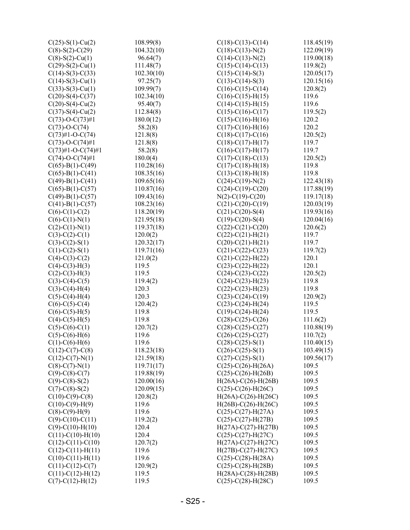| $C(25)$ -S(1)-Cu(2)                       | 108.99(8)  | $C(18)-C(13)-C(14)$                                       | 118.45(19) |
|-------------------------------------------|------------|-----------------------------------------------------------|------------|
| $C(8)$ -S(2)-C(29)                        | 104.32(10) | $C(18)-C(13)-N(2)$                                        | 122.09(19) |
| $C(8)$ -S(2)-Cu(1)                        | 96.64(7)   | $C(14)-C(13)-N(2)$                                        | 119.00(18) |
| $C(29)$ -S(2)-Cu(1)                       | 111.48(7)  | $C(15)-C(14)-C(13)$                                       | 119.8(2)   |
| $C(14)-S(3)-C(33)$                        | 102.30(10) | $C(15)-C(14)-S(3)$                                        | 120.05(17) |
| $C(14)$ -S(3)-Cu(1)                       | 97.25(7)   | $C(13)-C(14)-S(3)$                                        | 120.15(16) |
| $C(33)$ -S(3)-Cu(1)                       | 109.99(7)  | $C(16)-C(15)-C(14)$                                       | 120.8(2)   |
| $C(20)$ -S(4)-C(37)                       | 102.34(10) | $C(16)-C(15)-H(15)$                                       | 119.6      |
| $C(20)$ -S(4)-Cu(2)                       | 95.40(7)   | $C(14)-C(15)-H(15)$                                       | 119.6      |
| $C(37)$ -S(4)-Cu(2)                       | 112.84(8)  | $C(15)-C(16)-C(17)$                                       | 119.5(2)   |
| $C(73)-O-C(73)\#1$                        | 180.0(12)  | $C(15)-C(16)-H(16)$                                       | 120.2      |
| $C(73)-O-C(74)$                           | 58.2(8)    | $C(17)-C(16)-H(16)$                                       | 120.2      |
| $C(73)$ #1-O-C(74)                        | 121.8(8)   | $C(18)-C(17)-C(16)$                                       | 120.5(2)   |
| $C(73)-O-C(74)\#1$                        | 121.8(8)   | $C(18)-C(17)-H(17)$                                       | 119.7      |
| $C(73)$ #1-O-C $(74)$ #1                  | 58.2(8)    | $C(16)-C(17)-H(17)$                                       | 119.7      |
| $C(74)-O-C(74)\#1$                        | 180.0(4)   | $C(17)-C(18)-C(13)$                                       | 120.5(2)   |
| $C(65)$ -B(1)-C(49)                       | 110.28(16) | $C(17)-C(18)-H(18)$                                       | 119.8      |
| $C(65)$ -B(1)-C(41)                       | 108.35(16) | $C(13)-C(18)-H(18)$                                       | 119.8      |
| $C(49)$ -B(1)-C(41)                       | 109.65(16) | $C(24)-C(19)-N(2)$                                        | 122.43(18) |
| $C(65)$ -B(1)-C(57)                       | 110.87(16) | $C(24)-C(19)-C(20)$                                       | 117.88(19) |
| $C(49)$ -B(1)-C(57)                       | 109.43(16) | $N(2)$ -C(19)-C(20)                                       | 119.17(18) |
| $C(41)$ -B(1)-C(57)                       | 108.23(16) | $C(21)$ -C $(20)$ -C $(19)$                               | 120.03(19) |
| $C(6)-C(1)-C(2)$                          | 118.20(19) | $C(21)$ -C $(20)$ -S $(4)$                                | 119.93(16) |
| $C(6)-C(1)-N(1)$                          | 121.95(18) | $C(19)-C(20)-S(4)$                                        | 120.04(16) |
| $C(2)$ -C(1)-N(1)                         | 119.37(18) | $C(22) - C(21) - C(20)$                                   | 120.6(2)   |
| $C(3)-C(2)-C(1)$                          | 120.0(2)   | $C(22)-C(21)-H(21)$                                       | 119.7      |
| $C(3)-C(2)-S(1)$                          | 120.32(17) | $C(20)$ - $C(21)$ - $H(21)$                               | 119.7      |
| $C(1)$ -C(2)-S(1)                         | 119.71(16) | $C(21)-C(22)-C(23)$                                       | 119.7(2)   |
| $C(4)$ -C(3)-C(2)                         | 121.0(2)   | $C(21)-C(22)-H(22)$                                       | 120.1      |
| $C(4)-C(3)-H(3)$                          | 119.5      | $C(23)-C(22)-H(22)$                                       | 120.1      |
| $C(2)-C(3)-H(3)$                          | 119.5      | $C(24)-C(23)-C(22)$                                       | 120.5(2)   |
| $C(3)-C(4)-C(5)$                          | 119.4(2)   | $C(24)-C(23)-H(23)$                                       | 119.8      |
| $C(3)-C(4)-H(4)$                          | 120.3      | $C(22)$ -C(23)-H(23)                                      | 119.8      |
| $C(5)-C(4)-H(4)$                          | 120.3      | $C(23)-C(24)-C(19)$                                       | 120.9(2)   |
| $C(6)-C(5)-C(4)$                          | 120.4(2)   | $C(23)-C(24)-H(24)$                                       | 119.5      |
| $C(6)-C(5)-H(5)$                          | 119.8      | $C(19)-C(24)-H(24)$                                       | 119.5      |
| $C(4)-C(5)-H(5)$                          | 119.8      | $C(28)-C(25)-C(26)$                                       | 111.6(2)   |
| $C(5)-C(6)-C(1)$                          | 120.7(2)   | $C(28)-C(25)-C(27)$                                       | 110.88(19) |
| $C(5)-C(6)-H(6)$                          | 119.6      | $C(26)$ -C(25)-C(27)                                      | 110.7(2)   |
| $C(1)-C(6)-H(6)$                          | 119.6      | $C(28) - C(25) - S(1)$                                    | 110.40(15) |
| $C(12)-C(7)-C(8)$                         | 118.23(18) | $C(26) - C(25) - S(1)$                                    | 103.49(15) |
| $C(12)-C(7)-N(1)$                         | 121.59(18) | $C(27)$ -C $(25)$ -S $(1)$                                | 109.56(17) |
| $C(8)-C(7)-N(1)$                          | 119.71(17) | $C(25)$ -C(26)-H(26A)                                     | 109.5      |
| $C(9)$ -C(8)-C(7)                         | 119.88(19) | $C(25)-C(26)-H(26B)$                                      | 109.5      |
| $C(9)$ -C(8)-S(2)                         | 120.00(16) | $H(26A) - C(26) - H(26B)$                                 | 109.5      |
| $C(7)$ -C(8)-S(2)                         | 120.09(15) | $C(25)$ -C(26)-H(26C)                                     | 109.5      |
| $C(10)-C(9)-C(8)$                         | 120.8(2)   | $H(26A)-C(26)-H(26C)$                                     | 109.5      |
| $C(10)-C(9)-H(9)$                         | 119.6      | $H(26B) - C(26) - H(26C)$                                 | 109.5      |
| $C(8)-C(9)-H(9)$                          | 119.6      | $C(25)-C(27)-H(27A)$                                      | 109.5      |
| $C(9)-C(10)-C(11)$                        | 119.2(2)   | $C(25) - C(27) - H(27B)$                                  | 109.5      |
| $C(9)$ -C(10)-H(10)                       | 120.4      | $H(27A)-C(27)-H(27B)$                                     | 109.5      |
| $C(11)-C(10)-H(10)$                       | 120.4      | $C(25)$ -C(27)-H(27C)                                     | 109.5      |
| $C(12)-C(11)-C(10)$                       | 120.7(2)   | $H(27A)-C(27)-H(27C)$                                     | 109.5      |
| $C(12)-C(11)-H(11)$                       | 119.6      | $H(27B) - C(27) - H(27C)$                                 | 109.5      |
| $C(10)-C(11)-H(11)$                       | 119.6      | $C(25)-C(28)-H(28A)$                                      | 109.5      |
|                                           | 120.9(2)   |                                                           | 109.5      |
| $C(11)-C(12)-C(7)$<br>$C(11)-C(12)-H(12)$ | 119.5      | $C(25)$ -C $(28)$ -H $(28B)$<br>$H(28A) - C(28) - H(28B)$ | 109.5      |
|                                           | 119.5      |                                                           | 109.5      |
| $C(7)$ - $C(12)$ - $H(12)$                |            | $C(25)-C(28)-H(28C)$                                      |            |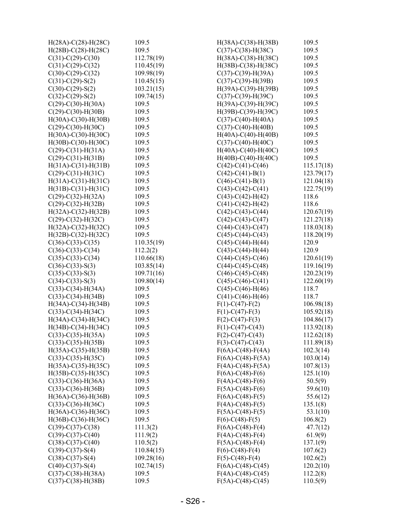| $H(28A) - C(28) - H(28C)$    | 109.5      | $H(38A) - C(38) - H(38B)$    | 109.5      |
|------------------------------|------------|------------------------------|------------|
| $H(28B) - C(28) - H(28C)$    | 109.5      | $C(37)-C(38)-H(38C)$         | 109.5      |
| $C(31)$ -C(29)-C(30)         | 112.78(19) | $H(38A) - C(38) - H(38C)$    | 109.5      |
| $C(31)$ -C(29)-C(32)         | 110.45(19) | $H(38B) - C(38) - H(38C)$    | 109.5      |
| $C(30)$ - $C(29)$ - $C(32)$  | 109.98(19) | $C(37)$ - $C(39)$ -H(39A)    | 109.5      |
| $C(31) - C(29) - S(2)$       | 110.45(15) | $C(37)$ -C(39)-H(39B)        | 109.5      |
| $C(30)$ - $C(29)$ -S(2)      | 103.21(15) | $H(39A) - C(39) - H(39B)$    | 109.5      |
| $C(32) - C(29) - S(2)$       | 109.74(15) | $C(37)$ -C(39)-H(39C)        | 109.5      |
| $C(29)$ - $C(30)$ - $H(30A)$ | 109.5      | $H(39A) - C(39) - H(39C)$    | 109.5      |
| $C(29)$ -C(30)-H(30B)        | 109.5      | $H(39B) - C(39) - H(39C)$    | 109.5      |
| $H(30A) - C(30) - H(30B)$    | 109.5      | $C(37)$ - $C(40)$ - $H(40A)$ | 109.5      |
| $C(29)$ -C(30)-H(30C)        | 109.5      | $C(37)$ - $C(40)$ - $H(40B)$ | 109.5      |
| $H(30A) - C(30) - H(30C)$    | 109.5      | $H(40A)-C(40)-H(40B)$        | 109.5      |
| $H(30B) - C(30) - H(30C)$    | 109.5      | $C(37)$ -C(40)-H(40C)        | 109.5      |
| $C(29)$ -C(31)-H(31A)        | 109.5      | $H(40A)-C(40)-H(40C)$        | 109.5      |
| $C(29)$ -C(31)-H(31B)        | 109.5      | $H(40B) - C(40) - H(40C)$    | 109.5      |
| $H(31A)-C(31)-H(31B)$        | 109.5      | $C(42)$ -C $(41)$ -C $(46)$  | 115.17(18) |
| $C(29)-C(31)-H(31C)$         | 109.5      | $C(42)$ -C(41)-B(1)          | 123.79(17) |
| $H(31A)-C(31)-H(31C)$        | 109.5      | $C(46) - C(41) - B(1)$       | 121.04(18) |
| $H(31B)-C(31)-H(31C)$        | 109.5      | $C(43)$ -C $(42)$ -C $(41)$  | 122.75(19) |
| $C(29)$ -C(32)-H(32A)        | 109.5      | $C(43)-C(42)-H(42)$          | 118.6      |
| $C(29)$ -C(32)-H(32B)        | 109.5      | $C(41)$ -C(42)-H(42)         | 118.6      |
| $H(32A)-C(32)-H(32B)$        | 109.5      | $C(42)$ -C $(43)$ -C $(44)$  | 120.67(19) |
| $C(29)$ -C(32)-H(32C)        | 109.5      |                              |            |
|                              |            | $C(42)$ -C $(43)$ -C $(47)$  | 121.27(18) |
| $H(32A)-C(32)-H(32C)$        | 109.5      | $C(44)$ -C $(43)$ -C $(47)$  | 118.03(18) |
| $H(32B) - C(32) - H(32C)$    | 109.5      | $C(45)$ -C $(44)$ -C $(43)$  | 118.20(19) |
| $C(36)-C(33)-C(35)$          | 110.35(19) | $C(45)-C(44)-H(44)$          | 120.9      |
| $C(36)-C(33)-C(34)$          | 112.2(2)   | $C(43)$ -C $(44)$ -H $(44)$  | 120.9      |
| $C(35)-C(33)-C(34)$          | 110.66(18) | $C(44)$ -C $(45)$ -C $(46)$  | 120.61(19) |
| $C(36)-C(33)-S(3)$           | 103.85(14) | $C(44)$ -C $(45)$ -C $(48)$  | 119.16(19) |
| $C(35)-C(33)-S(3)$           | 109.71(16) | $C(46)$ -C $(45)$ -C $(48)$  | 120.23(19) |
| $C(34)-C(33)-S(3)$           | 109.80(14) | $C(45)$ -C $(46)$ -C $(41)$  | 122.60(19) |
| $C(33)-C(34)-H(34A)$         | 109.5      | $C(45)$ - $C(46)$ -H $(46)$  | 118.7      |
| $C(33)-C(34)-H(34B)$         | 109.5      | $C(41)$ -C(46)-H(46)         | 118.7      |
| $H(34A)-C(34)-H(34B)$        | 109.5      | $F(1) - C(47) - F(2)$        | 106.98(18) |
| $C(33)-C(34)-H(34C)$         | 109.5      | $F(1) - C(47) - F(3)$        | 105.92(18) |
| $H(34A)-C(34)-H(34C)$        | 109.5      | $F(2) - C(47) - F(3)$        | 104.86(17) |
| $H(34B) - C(34) - H(34C)$    | 109.5      | $F(1) - C(47) - C(43)$       | 113.92(18) |
| $C(33)-C(35)-H(35A)$         | 109.5      | $F(2)-C(47)-C(43)$           | 112.62(18) |
| $C(33)-C(35)-H(35B)$         | 109.5      | $F(3)-C(47)-C(43)$           | 111.89(18) |
| $H(35A)-C(35)-H(35B)$        | 109.5      | $F(6A) - C(48) - F(4A)$      | 102.3(14)  |
| $C(33)-C(35)-H(35C)$         | 109.5      | $F(6A) - C(48) - F(5A)$      | 103.0(14)  |
| $H(35A) - C(35) - H(35C)$    | 109.5      | $F(4A) - C(48) - F(5A)$      | 107.8(13)  |
| $H(35B) - C(35) - H(35C)$    | 109.5      | $F(6A) - C(48) - F(6)$       | 125.1(10)  |
| $C(33)-C(36)-H(36A)$         | 109.5      | $F(4A)-C(48)-F(6)$           | 50.5(9)    |
| $C(33)-C(36)-H(36B)$         | 109.5      | $F(5A)-C(48)-F(6)$           | 59.6(10)   |
| $H(36A) - C(36) - H(36B)$    | 109.5      | $F(6A) - C(48) - F(5)$       | 55.6(12)   |
| $C(33)-C(36)-H(36C)$         | 109.5      | $F(4A) - C(48) - F(5)$       | 135.1(8)   |
| $H(36A) - C(36) - H(36C)$    | 109.5      | $F(5A) - C(48) - F(5)$       | 53.1(10)   |
| $H(36B) - C(36) - H(36C)$    | 109.5      | $F(6)-C(48)-F(5)$            | 106.8(2)   |
| $C(39)$ -C $(37)$ -C $(38)$  | 111.3(2)   | $F(6A)-C(48)-F(4)$           | 47.7(12)   |
| $C(39)$ -C $(37)$ -C $(40)$  | 111.9(2)   | $F(4A) - C(48) - F(4)$       | 61.9(9)    |
| $C(38)-C(37)-C(40)$          | 110.5(2)   | $F(5A)-C(48)-F(4)$           | 137.1(9)   |
| $C(39) - C(37) - S(4)$       | 110.84(15) | $F(6) - C(48) - F(4)$        | 107.6(2)   |
| $C(38)-C(37)-S(4)$           | 109.28(16) | $F(5) - C(48) - F(4)$        | 102.6(2)   |
| $C(40) - C(37) - S(4)$       | 102.74(15) | $F(6A) - C(48) - C(45)$      | 120.2(10)  |
| $C(37)$ -C(38)-H(38A)        | 109.5      | $F(4A) - C(48) - C(45)$      | 112.2(8)   |
| $C(37)$ - $C(38)$ -H(38B)    | 109.5      | $F(5A) - C(48) - C(45)$      | 110.5(9)   |
|                              |            |                              |            |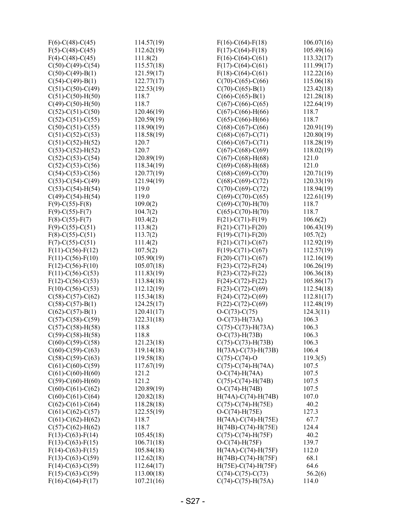| $F(6)$ -C(48)-C(45)         | 114.57(19)     | $F(16)-C(64)-F(18)$          | 106.07(16) |
|-----------------------------|----------------|------------------------------|------------|
| $F(5)-C(48)-C(45)$          | 112.62(19)     | $F(17) - C(64) - F(18)$      | 105.49(16) |
| $F(4)-C(48)-C(45)$          | 111.8(2)       | $F(16)-C(64)-C(61)$          | 113.32(17) |
| $C(50)$ -C(49)-C(54)        | 115.57(18)     | $F(17)-C(64)-C(61)$          | 111.99(17) |
| $C(50)$ -C(49)-B(1)         | 121.59(17)     | $F(18)-C(64)-C(61)$          | 112.22(16) |
| $C(54)-C(49)-B(1)$          | 122.77(17)     | $C(70)-C(65)-C(66)$          | 115.06(18) |
| $C(51)$ -C(50)-C(49)        | 122.53(19)     | $C(70)-C(65)-B(1)$           | 123.42(18) |
| $C(51)$ -C(50)-H(50)        | 118.7          | $C(66)$ -C $(65)$ -B $(1)$   | 121.28(18) |
| $C(49)$ - $C(50)$ - $H(50)$ | 118.7          | $C(67)$ -C $(66)$ -C $(65)$  | 122.64(19) |
| $C(52) - C(51) - C(50)$     | 120.46(19)     | $C(67)$ - $C(66)$ - $H(66)$  | 118.7      |
| $C(52)$ -C(51)-C(55)        | 120.59(19)     | $C(65)$ - $C(66)$ - $H(66)$  | 118.7      |
| $C(50)$ -C(51)-C(55)        | 118.90(19)     | $C(68)$ -C $(67)$ -C $(66)$  | 120.91(19) |
| $C(51)$ -C(52)-C(53)        | 118.58(19)     | $C(68)$ -C $(67)$ -C $(71)$  | 120.80(19) |
| $C(51) - C(52) - H(52)$     | 120.7          | $C(66)$ -C $(67)$ -C $(71)$  | 118.28(19) |
| $C(53)-C(52)-H(52)$         | 120.7          | $C(67)$ -C $(68)$ -C $(69)$  | 118.02(19) |
| $C(52)$ -C(53)-C(54)        | 120.89(19)     | $C(67)$ -C $(68)$ -H $(68)$  | 121.0      |
| $C(52)$ -C(53)-C(56)        | 118.34(19)     | $C(69)$ - $C(68)$ -H $(68)$  | 121.0      |
| $C(54)$ -C(53)-C(56)        | 120.77(19)     | $C(68)$ -C $(69)$ -C $(70)$  | 120.71(19) |
| $C(53)-C(54)-C(49)$         | 121.94(19)     | $C(68)$ -C(69)-C(72)         | 120.33(19) |
| $C(53)-C(54)-H(54)$         | 119.0          | $C(70)-C(69)-C(72)$          | 118.94(19) |
| $C(49)$ -C(54)-H(54)        | 119.0          | $C(69)$ -C(70)-C(65)         | 122.61(19) |
| $F(9) - C(55) - F(8)$       | 109.0(2)       | $C(69)$ - $C(70)$ - $H(70)$  | 118.7      |
| $F(9) - C(55) - F(7)$       | 104.7(2)       | $C(65)-C(70)-H(70)$          | 118.7      |
| $F(8)$ -C(55)-F(7)          | 103.4(2)       | $F(21)-C(71)-F(19)$          | 106.6(2)   |
| $F(9)$ -C(55)-C(51)         | 113.8(2)       | $F(21) - C(71) - F(20)$      | 106.43(19) |
| $F(8)$ -C(55)-C(51)         | 113.7(2)       | $F(19)-C(71)-F(20)$          | 105.7(2)   |
| $F(7)$ -C(55)-C(51)         | 111.4(2)       | $F(21)-C(71)-C(67)$          | 112.92(19) |
| $F(11) - C(56) - F(12)$     | 107.5(2)       | $F(19)-C(71)-C(67)$          | 112.57(19) |
| $F(11)-C(56)-F(10)$         | 105.90(19)     | $F(20)-C(71)-C(67)$          | 112.16(19) |
| $F(12)-C(56)-F(10)$         | 105.07(18)     | $F(23)-C(72)-F(24)$          | 106.26(19) |
| $F(11)-C(56)-C(53)$         | 111.83(19)     | $F(23)-C(72)-F(22)$          | 106.36(18) |
| $F(12)-C(56)-C(53)$         | 113.84(18)     | $F(24)-C(72)-F(22)$          | 105.86(17) |
| $F(10)-C(56)-C(53)$         | 112.12(19)     | $F(23)-C(72)-C(69)$          | 112.54(18) |
| $C(58)$ -C(57)-C(62)        | 115.34(18)     | $F(24)-C(72)-C(69)$          | 112.81(17) |
| $C(58) - C(57) - B(1)$      | 124.25(17)     | $F(22) - C(72) - C(69)$      | 112.48(19) |
| $C(62)$ -C(57)-B(1)         | 120.41(17)     | $O-C(73)-C(75)$              | 124.3(11)  |
| $C(57)$ -C(58)-C(59)        | 122.31(18)     | $O-C(73) - H(73A)$           | 106.3      |
| $C(57)$ -C(58)-H(58)        | 118.8          | $C(75)-C(73)-H(73A)$         | 106.3      |
| $C(59)$ -C $(58)$ -H $(58)$ | 118.8          | $O-C(73) - H(73B)$           | 106.3      |
| $C(60)$ -C(59)-C(58)        | 121.23(18)     | $C(75)-C(73)-H(73B)$         | 106.3      |
| $C(60)$ -C(59)-C(63)        | 119.14(18)     | $H(73A) - C(73) - H(73B)$    | 106.4      |
| $C(58)$ -C(59)-C(63)        | 119.58(18)     | $C(75)$ -C $(74)$ -O         | 119.3(5)   |
| $C(61)$ -C $(60)$ -C $(59)$ | 117.67(19)     | $C(75)$ -C(74)-H(74A)        | 107.5      |
|                             |                |                              | 107.5      |
| $C(61)$ - $C(60)$ - $H(60)$ | 121.2<br>121.2 | $O-C(74) - H(74A)$           |            |
| $C(59)$ - $C(60)$ - $H(60)$ |                | $C(75)$ -C $(74)$ -H $(74B)$ | 107.5      |
| $C(60)$ -C $(61)$ -C $(62)$ | 120.89(19)     | $O-C(74) - H(74B)$           | 107.5      |
| $C(60)$ -C $(61)$ -C $(64)$ | 120.82(18)     | $H(74A)-C(74)-H(74B)$        | 107.0      |
| $C(62)$ -C $(61)$ -C $(64)$ | 118.28(18)     | $C(75)-C(74)-H(75E)$         | 40.2       |
| $C(61)$ -C $(62)$ -C $(57)$ | 122.55(19)     | $O-C(74) - H(75E)$           | 127.3      |
| $C(61)$ -C $(62)$ -H $(62)$ | 118.7          | $H(74A)-C(74)-H(75E)$        | 67.7       |
| $C(57)$ -C(62)-H(62)        | 118.7          | $H(74B) - C(74) - H(75E)$    | 124.4      |
| $F(13)-C(63)-F(14)$         | 105.45(18)     | $C(75)$ -C $(74)$ -H $(75F)$ | 40.2       |
| $F(13)-C(63)-F(15)$         | 106.71(18)     | $O-C(74)$ -H $(75F)$         | 139.7      |
| $F(14)-C(63)-F(15)$         | 105.84(18)     | $H(74A) - C(74) - H(75F)$    | 112.0      |
| $F(13)-C(63)-C(59)$         | 112.62(18)     | $H(74B) - C(74) - H(75F)$    | 68.1       |
| $F(14)-C(63)-C(59)$         | 112.64(17)     | $H(75E) - C(74) - H(75F)$    | 64.6       |
| $F(15)-C(63)-C(59)$         | 113.00(18)     | $C(74)$ -C(75)-C(73)         | 56.2(6)    |
| $F(16)-C(64)-F(17)$         | 107.21(16)     | $C(74)$ -C(75)-H(75A)        | 114.0      |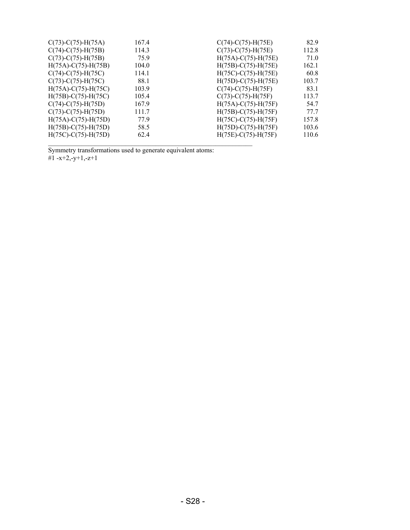| $C(73)$ -C(75)-H(75A)        | 167.4 | $C(74)$ - $C(75)$ -H $(75E)$ | 82.9  |
|------------------------------|-------|------------------------------|-------|
| $C(74)$ -C $(75)$ -H $(75B)$ | 114.3 | $C(73)-C(75)-H(75E)$         | 112.8 |
| $C(73)$ -C $(75)$ -H $(75B)$ | 75.9  | $H(75A) - C(75) - H(75E)$    | 71.0  |
| $H(75A) - C(75) - H(75B)$    | 104.0 | $H(75B) - C(75) - H(75E)$    | 162.1 |
| $C(74)-C(75)-H(75C)$         | 114.1 | $H(75C) - C(75) - H(75E)$    | 60.8  |
| $C(73)-C(75)-H(75C)$         | 88.1  | $H(75D) - C(75) - H(75E)$    | 103.7 |
| $H(75A) - C(75) - H(75C)$    | 103.9 | $C(74)$ -C(75)-H(75F)        | 83.1  |
| $H(75B) - C(75) - H(75C)$    | 105.4 | $C(73)-C(75)-H(75F)$         | 113.7 |
| $C(74)$ -C $(75)$ -H $(75D)$ | 167.9 | $H(75A) - C(75) - H(75F)$    | 54.7  |
| $C(73)$ -C $(75)$ -H $(75D)$ | 111.7 | $H(75B) - C(75) - H(75F)$    | 77.7  |
| $H(75A) - C(75) - H(75D)$    | 77.9  | $H(75C) - C(75) - H(75F)$    | 157.8 |
| $H(75B) - C(75) - H(75D)$    | 58.5  | $H(75D) - C(75) - H(75F)$    | 103.6 |
| $H(75C) - C(75) - H(75D)$    | 62.4  | $H(75E) - C(75) - H(75F)$    | 110.6 |

Symmetry transformations used to generate equivalent atoms: #1 -x+2,-y+1,-z+1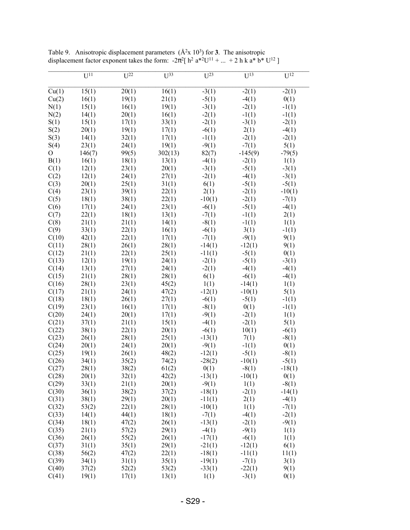|                | $U^{11}$ | $U^{22}$ | $U^{33}$ | $U^{23}$ | $U^{13}$  | $U^{12}$ |
|----------------|----------|----------|----------|----------|-----------|----------|
| Cu(1)          | 15(1)    | 20(1)    | 16(1)    | $-3(1)$  | $-2(1)$   | $-2(1)$  |
| Cu(2)          | 16(1)    | 19(1)    | 21(1)    | $-5(1)$  | $-4(1)$   | 0(1)     |
| N(1)           | 15(1)    | 16(1)    | 19(1)    | $-3(1)$  | $-2(1)$   | $-1(1)$  |
| N(2)           | 14(1)    | 20(1)    | 16(1)    | $-2(1)$  | $-1(1)$   | $-1(1)$  |
| S(1)           | 15(1)    | 17(1)    | 33(1)    | $-2(1)$  | $-3(1)$   | $-2(1)$  |
| S(2)           | 20(1)    | 19(1)    | 17(1)    | $-6(1)$  | 2(1)      | $-4(1)$  |
| S(3)           | 14(1)    | 32(1)    | 17(1)    | $-1(1)$  | $-2(1)$   | $-2(1)$  |
| S(4)           | 23(1)    | 24(1)    | 19(1)    | $-9(1)$  | $-7(1)$   | 5(1)     |
| $\overline{O}$ | 146(7)   | 99(5)    | 302(13)  | 82(7)    | $-145(9)$ | $-79(5)$ |
| B(1)           | 16(1)    | 18(1)    | 13(1)    | $-4(1)$  | $-2(1)$   | 1(1)     |
| C(1)           | 12(1)    | 23(1)    | 20(1)    | $-3(1)$  | $-5(1)$   | $-3(1)$  |
| C(2)           | 12(1)    | 24(1)    | 27(1)    | $-2(1)$  | $-4(1)$   | $-3(1)$  |
| C(3)           | 20(1)    | 25(1)    | 31(1)    | 6(1)     | $-5(1)$   | $-5(1)$  |
| C(4)           | 23(1)    | 39(1)    | 22(1)    | 2(1)     | $-2(1)$   | $-10(1)$ |
| C(5)           | 18(1)    | 38(1)    | 22(1)    | $-10(1)$ | $-2(1)$   | $-7(1)$  |
| C(6)           | 17(1)    | 24(1)    | 23(1)    | $-6(1)$  | $-5(1)$   | $-4(1)$  |
| C(7)           | 22(1)    | 18(1)    | 13(1)    | $-7(1)$  | $-1(1)$   | 2(1)     |
| C(8)           | 21(1)    | 21(1)    | 14(1)    | $-8(1)$  | $-1(1)$   | 1(1)     |
| C(9)           | 33(1)    | 22(1)    | 16(1)    | $-6(1)$  | 3(1)      | $-1(1)$  |
| C(10)          | 42(1)    | 22(1)    | 17(1)    | $-7(1)$  | $-9(1)$   | 9(1)     |
| C(11)          | 28(1)    | 26(1)    | 28(1)    | $-14(1)$ | $-12(1)$  | 9(1)     |
| C(12)          | 21(1)    | 22(1)    | 25(1)    | $-11(1)$ | $-5(1)$   | 0(1)     |
| C(13)          | 12(1)    | 19(1)    | 24(1)    | $-2(1)$  | $-5(1)$   | $-3(1)$  |
| C(14)          | 13(1)    | 27(1)    | 24(1)    | $-2(1)$  | $-4(1)$   | $-4(1)$  |
| C(15)          | 21(1)    | 28(1)    | 28(1)    | 6(1)     | $-6(1)$   | $-4(1)$  |
| C(16)          | 28(1)    | 23(1)    | 45(2)    | 1(1)     | $-14(1)$  | 1(1)     |
| C(17)          | 21(1)    | 24(1)    | 47(2)    | $-12(1)$ | $-10(1)$  | 5(1)     |
| C(18)          | 18(1)    | 26(1)    | 27(1)    | $-6(1)$  | $-5(1)$   | $-1(1)$  |
| C(19)          | 23(1)    | 16(1)    | 17(1)    | $-8(1)$  | 0(1)      | $-1(1)$  |
| C(20)          | 24(1)    | 20(1)    | 17(1)    | $-9(1)$  | $-2(1)$   | 1(1)     |
| C(21)          | 37(1)    | 21(1)    | 15(1)    | $-4(1)$  | $-2(1)$   | 5(1)     |
| C(22)          | 38(1)    | 22(1)    | 20(1)    | $-6(1)$  | 10(1)     | $-6(1)$  |
| C(23)          | 26(1)    | 28(1)    | 25(1)    | $-13(1)$ | 7(1)      | $-8(1)$  |
| C(24)          | 20(1)    | 24(1)    | 20(1)    | $-9(1)$  | $-1(1)$   | 0(1)     |
| C(25)          | 19(1)    | 26(1)    | 48(2)    | $-12(1)$ | $-5(1)$   | $-8(1)$  |
| C(26)          | 34(1)    | 35(2)    | 74(2)    | $-28(2)$ | $-10(1)$  | $-5(1)$  |
| C(27)          | 28(1)    | 38(2)    | 61(2)    | 0(1)     | $-8(1)$   | $-18(1)$ |
| C(28)          | 20(1)    | 32(1)    | 42(2)    | $-13(1)$ | $-10(1)$  | 0(1)     |
| C(29)          | 33(1)    | 21(1)    | 20(1)    | $-9(1)$  | 1(1)      | $-8(1)$  |
| C(30)          | 36(1)    | 38(2)    | 37(2)    | $-18(1)$ | $-2(1)$   | $-14(1)$ |
| C(31)          | 38(1)    | 29(1)    | 20(1)    | $-11(1)$ | 2(1)      | $-4(1)$  |
| C(32)          | 53(2)    | 22(1)    | 28(1)    | $-10(1)$ | 1(1)      | $-7(1)$  |
| C(33)          | 14(1)    | 44(1)    | 18(1)    | $-7(1)$  | $-4(1)$   | $-2(1)$  |
| C(34)          | 18(1)    | 47(2)    | 26(1)    | $-13(1)$ | $-2(1)$   | $-9(1)$  |
| C(35)          | 21(1)    | 57(2)    | 29(1)    | $-4(1)$  | $-9(1)$   | 1(1)     |
| C(36)          | 26(1)    | 55(2)    | 26(1)    | $-17(1)$ | $-6(1)$   | 1(1)     |
| C(37)          | 31(1)    | 35(1)    | 29(1)    | $-21(1)$ | $-12(1)$  | 6(1)     |
| C(38)          | 56(2)    | 47(2)    | 22(1)    | $-18(1)$ | $-11(1)$  | 11(1)    |
| C(39)          | 34(1)    | 31(1)    | 35(1)    | $-19(1)$ | $-7(1)$   | 3(1)     |
| C(40)          | 37(2)    | 52(2)    | 53(2)    | $-33(1)$ | $-22(1)$  | 9(1)     |
| C(41)          | 19(1)    | 17(1)    | 13(1)    | 1(1)     | $-3(1)$   | 0(1)     |

Table 9. Anisotropic displacement parameters  $(\hat{A}^2 \times 10^3)$  for **3**. The anisotropic displacement factor exponent takes the form:  $-2\pi^2$ [ h<sup>2</sup> a<sup>\*2</sup>U<sup>11</sup> + ... + 2 h k a<sup>\*</sup> b<sup>\*</sup> U<sup>12</sup>]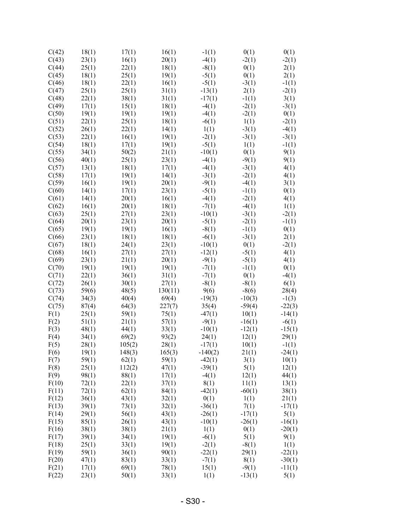| C(42) | 18(1) | 17(1)  | 16(1)   | $-1(1)$   | 0(1)     | 0(1)     |
|-------|-------|--------|---------|-----------|----------|----------|
| C(43) | 23(1) | 16(1)  | 20(1)   | $-4(1)$   | $-2(1)$  | $-2(1)$  |
| C(44) | 25(1) | 22(1)  | 18(1)   | $-8(1)$   | 0(1)     | 2(1)     |
| C(45) | 18(1) | 25(1)  | 19(1)   | $-5(1)$   | 0(1)     | 2(1)     |
| C(46) | 18(1) | 22(1)  | 16(1)   | $-5(1)$   | $-3(1)$  | $-1(1)$  |
| C(47) | 25(1) | 25(1)  | 31(1)   | $-13(1)$  | 2(1)     | $-2(1)$  |
|       |       |        |         |           |          |          |
| C(48) | 22(1) | 38(1)  | 31(1)   | $-17(1)$  | $-1(1)$  | 3(1)     |
| C(49) | 17(1) | 15(1)  | 18(1)   | $-4(1)$   | $-2(1)$  | $-3(1)$  |
| C(50) | 19(1) | 19(1)  | 19(1)   | $-4(1)$   | $-2(1)$  | 0(1)     |
| C(51) | 22(1) | 25(1)  | 18(1)   | $-6(1)$   | 1(1)     | $-2(1)$  |
| C(52) | 26(1) | 22(1)  | 14(1)   | 1(1)      | $-3(1)$  | $-4(1)$  |
| C(53) | 22(1) | 16(1)  | 19(1)   | $-2(1)$   | $-3(1)$  | $-3(1)$  |
| C(54) | 18(1) | 17(1)  | 19(1)   | $-5(1)$   | 1(1)     | $-1(1)$  |
| C(55) | 34(1) | 50(2)  | 21(1)   | $-10(1)$  | 0(1)     | 9(1)     |
| C(56) | 40(1) | 25(1)  | 23(1)   | $-4(1)$   | $-9(1)$  | 9(1)     |
| C(57) | 13(1) | 18(1)  | 17(1)   | $-4(1)$   | $-3(1)$  | 4(1)     |
| C(58) |       |        |         |           |          |          |
|       | 17(1) | 19(1)  | 14(1)   | $-3(1)$   | $-2(1)$  | 4(1)     |
| C(59) | 16(1) | 19(1)  | 20(1)   | $-9(1)$   | $-4(1)$  | 3(1)     |
| C(60) | 14(1) | 17(1)  | 23(1)   | $-5(1)$   | $-1(1)$  | 0(1)     |
| C(61) | 14(1) | 20(1)  | 16(1)   | $-4(1)$   | $-2(1)$  | 4(1)     |
| C(62) | 16(1) | 20(1)  | 18(1)   | $-7(1)$   | $-4(1)$  | 1(1)     |
| C(63) | 25(1) | 27(1)  | 23(1)   | $-10(1)$  | $-3(1)$  | $-2(1)$  |
| C(64) | 20(1) | 23(1)  | 20(1)   | $-5(1)$   | $-2(1)$  | $-1(1)$  |
| C(65) | 19(1) | 19(1)  | 16(1)   | $-8(1)$   | $-1(1)$  | 0(1)     |
| C(66) | 23(1) | 18(1)  | 18(1)   | $-6(1)$   | $-3(1)$  | 2(1)     |
| C(67) | 18(1) | 24(1)  | 23(1)   | $-10(1)$  | 0(1)     | $-2(1)$  |
| C(68) | 16(1) | 27(1)  | 27(1)   | $-12(1)$  | $-5(1)$  | 4(1)     |
| C(69) | 23(1) | 21(1)  | 20(1)   | $-9(1)$   | $-5(1)$  | 4(1)     |
| C(70) | 19(1) | 19(1)  | 19(1)   | $-7(1)$   | $-1(1)$  | 0(1)     |
|       |       |        |         |           |          |          |
| C(71) | 22(1) | 36(1)  | 31(1)   | $-7(1)$   | 0(1)     | $-4(1)$  |
| C(72) | 26(1) | 30(1)  | 27(1)   | $-8(1)$   | $-8(1)$  | 6(1)     |
| C(73) | 59(6) | 48(5)  | 130(11) | 9(6)      | $-8(6)$  | 28(4)    |
| C(74) | 34(3) | 40(4)  | 69(4)   | $-19(3)$  | $-10(3)$ | $-1(3)$  |
| C(75) | 87(4) | 64(3)  | 227(7)  | 35(4)     | $-59(4)$ | $-22(3)$ |
| F(1)  | 25(1) | 59(1)  | 75(1)   | $-47(1)$  | 10(1)    | $-14(1)$ |
| F(2)  | 51(1) | 21(1)  | 57(1)   | $-9(1)$   | $-16(1)$ | $-6(1)$  |
| F(3)  | 48(1) | 44(1)  | 33(1)   | $-10(1)$  | $-12(1)$ | $-15(1)$ |
| F(4)  | 34(1) | 69(2)  | 93(2)   | 24(1)     | 12(1)    | 29(1)    |
| F(5)  | 28(1) | 105(2) | 28(1)   | $-17(1)$  | 10(1)    | $-1(1)$  |
| F(6)  | 19(1) | 148(3) | 165(3)  | $-140(2)$ | 21(1)    | $-24(1)$ |
| F(7)  | 59(1) | 62(1)  | 59(1)   | $-42(1)$  | 3(1)     | 10(1)    |
| F(8)  | 25(1) | 112(2) | 47(1)   | $-39(1)$  | 5(1)     | 12(1)    |
| F(9)  | 98(1) | 88(1)  | 17(1)   | $-4(1)$   | 12(1)    |          |
|       |       |        |         |           |          | 44(1)    |
| F(10) | 72(1) | 22(1)  | 37(1)   | 8(1)      | 11(1)    | 13(1)    |
| F(11) | 72(1) | 62(1)  | 84(1)   | $-42(1)$  | $-60(1)$ | 38(1)    |
| F(12) | 36(1) | 43(1)  | 32(1)   | 0(1)      | 1(1)     | 21(1)    |
| F(13) | 39(1) | 73(1)  | 32(1)   | $-36(1)$  | 7(1)     | $-17(1)$ |
| F(14) | 29(1) | 56(1)  | 43(1)   | $-26(1)$  | $-17(1)$ | 5(1)     |
| F(15) | 85(1) | 26(1)  | 43(1)   | $-10(1)$  | $-26(1)$ | $-16(1)$ |
| F(16) | 38(1) | 38(1)  | 21(1)   | 1(1)      | 0(1)     | $-20(1)$ |
| F(17) | 39(1) | 34(1)  | 19(1)   | $-6(1)$   | 5(1)     | 9(1)     |
| F(18) | 25(1) | 33(1)  | 19(1)   | $-2(1)$   | $-8(1)$  | 1(1)     |
| F(19) | 59(1) | 36(1)  | 90(1)   | $-22(1)$  | 29(1)    | $-22(1)$ |
| F(20) | 47(1) | 83(1)  | 33(1)   | $-7(1)$   | 8(1)     | $-30(1)$ |
| F(21) | 17(1) | 69(1)  | 78(1)   | 15(1)     | $-9(1)$  | $-11(1)$ |
| F(22) | 23(1) | 50(1)  | 33(1)   | 1(1)      | $-13(1)$ | 5(1)     |
|       |       |        |         |           |          |          |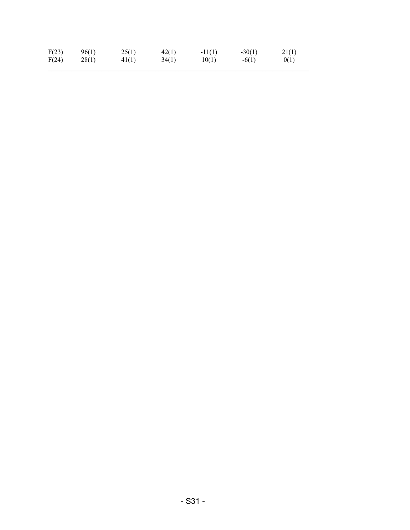| F(23) | 96(1) | 25(1) | 42(1) | $-11(1)$ | $-30(1)$ | 21(1) |
|-------|-------|-------|-------|----------|----------|-------|
| F(24) | 28(1) | 41(1) | 34(1) | 10(1)    | $-6(1)$  | 0(1)  |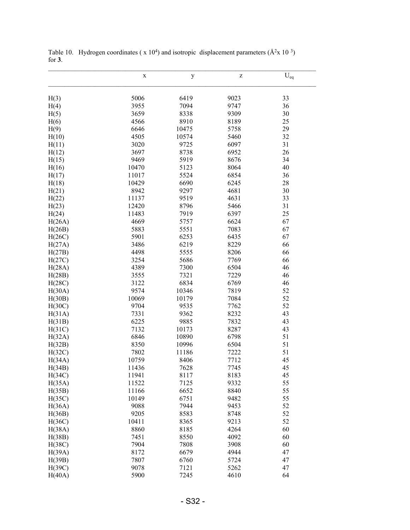|        | $\mathbf X$ | $\mathbf y$ | Z    | $U_{\text{eq}}$ |
|--------|-------------|-------------|------|-----------------|
| H(3)   | 5006        | 6419        | 9023 | 33              |
| H(4)   | 3955        | 7094        | 9747 | 36              |
| H(5)   | 3659        | 8338        | 9309 | 30              |
| H(6)   | 4566        | 8910        | 8189 | 25              |
| H(9)   | 6646        | 10475       | 5758 | 29              |
| H(10)  | 4505        | 10574       | 5460 | 32              |
| H(11)  | 3020        | 9725        | 6097 | 31              |
| H(12)  | 3697        | 8738        | 6952 | 26              |
| H(15)  | 9469        | 5919        | 8676 | 34              |
| H(16)  | 10470       | 5123        | 8064 | 40              |
| H(17)  | 11017       | 5524        | 6854 | 36              |
| H(18)  | 10429       | 6690        | 6245 | 28              |
| H(21)  | 8942        | 9297        | 4681 | 30              |
| H(22)  | 11137       | 9519        | 4631 | 33              |
| H(23)  | 12420       | 8796        | 5466 | 31              |
| H(24)  | 11483       | 7919        | 6397 | 25              |
| H(26A) | 4669        | 5757        | 6624 | 67              |
| H(26B) | 5883        | 5551        | 7083 | 67              |
| H(26C) | 5901        | 6253        | 6435 | 67              |
| H(27A) | 3486        | 6219        | 8229 | 66              |
| H(27B) | 4498        | 5555        | 8206 | 66              |
| H(27C) | 3254        | 5686        | 7769 | 66              |
| H(28A) | 4389        | 7300        | 6504 | 46              |
| H(28B) | 3555        | 7321        | 7229 | 46              |
| H(28C) | 3122        | 6834        | 6769 | 46              |
| H(30A) | 9574        | 10346       | 7819 | 52              |
| H(30B) | 10069       | 10179       | 7084 | 52              |
| H(30C) | 9704        | 9535        | 7762 | 52              |
| H(31A) | 7331        | 9362        | 8232 | 43              |
| H(31B) | 6225        | 9885        | 7832 | 43              |
| H(31C) | 7132        | 10173       | 8287 | 43              |
| H(32A) | 6846        | 10890       | 6798 | 51              |
| H(32B) | 8350        | 10996       | 6504 | 51              |
| H(32C) | 7802        | 11186       | 7222 | 51              |
| H(34A) | 10759       | 8406        | 7712 | 45              |
| H(34B) | 11436       | 7628        | 7745 | 45              |
| H(34C) | 11941       | 8117        | 8183 | 45              |
| H(35A) | 11522       | 7125        | 9332 | 55              |
| H(35B) | 11166       | 6652        | 8840 | 55              |
| H(35C) | 10149       | 6751        | 9482 | 55              |
| H(36A) | 9088        | 7944        | 9453 | 52              |
| H(36B) | 9205        | 8583        | 8748 | 52              |
| H(36C) | 10411       | 8365        | 9213 | 52              |
| H(38A) | 8860        | 8185        | 4264 | 60              |
| H(38B) | 7451        | 8550        | 4092 | 60              |
| H(38C) | 7904        | 7808        | 3908 | 60              |
| H(39A) | 8172        | 6679        | 4944 | 47              |
| H(39B) | 7807        | 6760        | 5724 | 47              |
| H(39C) | 9078        | 7121        | 5262 | 47              |
| H(40A) | 5900        | 7245        | 4610 | 64              |

Table 10. Hydrogen coordinates ( $x 10^4$ ) and isotropic displacement parameters ( $\AA^2x 10^3$ ) for **3**.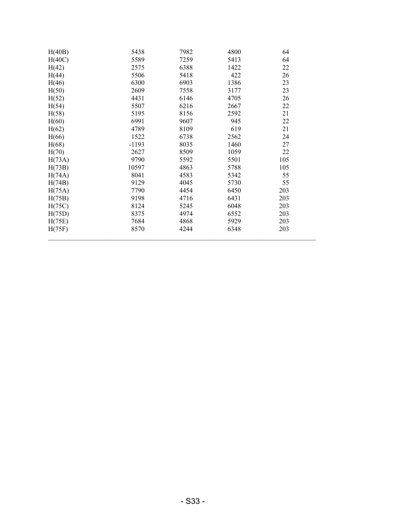| 5438<br>4800<br>H(40B)<br>7982<br>64<br>5589<br>64<br>H(40C)<br>7259<br>5413<br>6388<br>H(42)<br>1422<br>2575 | 22 |
|---------------------------------------------------------------------------------------------------------------|----|
|                                                                                                               |    |
|                                                                                                               |    |
| 5506<br>5418<br>422<br>26<br>H(44)                                                                            |    |
| 1386<br>23<br>6300<br>H(46)<br>6903                                                                           |    |
| 23<br>2609<br>H(50)<br>7558<br>3177                                                                           |    |
| 4431<br>26<br>H(52)<br>6146<br>4705                                                                           |    |
| 22<br>5507<br>6216<br>H(54)<br>2667                                                                           |    |
| 21<br>5195<br>2592<br>H(58)<br>8156                                                                           |    |
| 22<br>H(60)<br>6991<br>9607<br>945                                                                            |    |
| 4789<br>8109<br>619<br>21<br>H(62)                                                                            |    |
| H(66)<br>1522<br>6738<br>2562<br>24                                                                           |    |
| $-1193$<br>8035<br>1460<br>27<br>H(68)                                                                        |    |
| 22<br>2627<br>8509<br>1059<br>H(70)                                                                           |    |
| 105<br>9790<br>5592<br>5501<br>H(73A)                                                                         |    |
| 105<br>10597<br>4863<br>5788<br>H(73B)                                                                        |    |
| 55<br>8041<br>4583<br>5342<br>H(74A)                                                                          |    |
| 9129<br>4045<br>5730<br>55<br>H(74B)                                                                          |    |
| 7790<br>4454<br>6450<br>203<br>H(75A)                                                                         |    |
| 6431<br>203<br>9198<br>4716<br>H(75B)                                                                         |    |
| 8124<br>6048<br>203<br>H(75C)<br>5245                                                                         |    |
| 203<br>8375<br>4974<br>6552<br>H(75D)                                                                         |    |
| 7684<br>4868<br>203<br>5929<br>H(75E)                                                                         |    |
| H(75F)<br>4244<br>6348<br>203<br>8570                                                                         |    |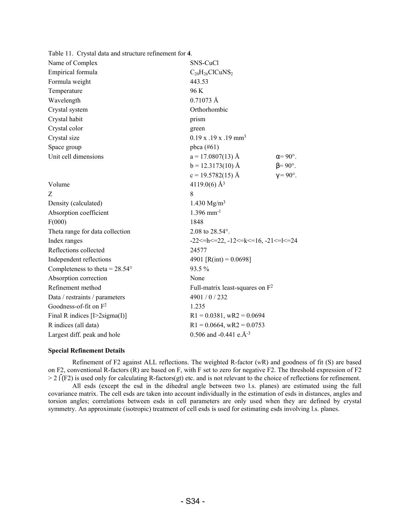| Table 11. Crystal data and structure refinement for 4. |                                                              |                       |
|--------------------------------------------------------|--------------------------------------------------------------|-----------------------|
| Name of Complex                                        | SNS-CuCl                                                     |                       |
| Empirical formula                                      | $C_{20}H_{26}ClCuNS_2$                                       |                       |
| Formula weight                                         | 443.53                                                       |                       |
| Temperature                                            | 96 K                                                         |                       |
| Wavelength                                             | $0.71073 \text{ Å}$                                          |                       |
| Crystal system                                         | Orthorhombic                                                 |                       |
| Crystal habit                                          | prism                                                        |                       |
| Crystal color                                          | green                                                        |                       |
| Crystal size                                           | $0.19$ x $.19$ x $.19$ mm <sup>3</sup>                       |                       |
| Space group                                            | pbca $(\#61)$                                                |                       |
| Unit cell dimensions                                   | $a = 17.0807(13)$ Å                                          | $\alpha = 90^\circ$ . |
|                                                        | $b = 12.3173(10)$ Å                                          | $\beta = 90^\circ$ .  |
|                                                        | $c = 19.5782(15)$ Å                                          | $\gamma = 90^\circ$ . |
| Volume                                                 | 4119.0(6) $\AA$ <sup>3</sup>                                 |                       |
| Z                                                      | 8                                                            |                       |
| Density (calculated)                                   | 1.430 $Mg/m^3$                                               |                       |
| Absorption coefficient                                 | $1.396$ mm <sup>-1</sup>                                     |                       |
| F(000)                                                 | 1848                                                         |                       |
| Theta range for data collection                        | 2.08 to 28.54°.                                              |                       |
| Index ranges                                           | $-22 \le h \le 22$ , $-12 \le k \le 16$ , $-21 \le k \le 24$ |                       |
| Reflections collected                                  | 24577                                                        |                       |
| Independent reflections                                | 4901 [R(int) = $0.0698$ ]                                    |                       |
| Completeness to theta = $28.54^{\circ}$                | 93.5%                                                        |                       |
| Absorption correction                                  | None                                                         |                       |
| Refinement method                                      | Full-matrix least-squares on $F^2$                           |                       |
| Data / restraints / parameters                         | 4901 / 0 / 232                                               |                       |
| Goodness-of-fit on $F^2$                               | 1.235                                                        |                       |
| Final R indices $[I>2$ sigma $(I)$ ]                   | $R1 = 0.0381$ , wR2 = 0.0694                                 |                       |
| R indices (all data)                                   | $R1 = 0.0664$ , wR2 = 0.0753                                 |                       |
| Largest diff. peak and hole                            | 0.506 and -0.441 e. $A^{-3}$                                 |                       |

## **Special Refinement Details**

Refinement of F2 against ALL reflections. The weighted R-factor (*w*R) and goodness of fit (S) are based on F2, conventional R-factors (R) are based on F, with F set to zero for negative F2. The threshold expression of F2  $> 2 \int (F2)$  is used only for calculating R-factors(gt) etc. and is not relevant to the choice of reflections for refinement.

All esds (except the esd in the dihedral angle between two l.s. planes) are estimated using the full covariance matrix. The cell esds are taken into account individually in the estimation of esds in distances, angles and torsion angles; correlations between esds in cell parameters are only used when they are defined by crystal symmetry. An approximate (isotropic) treatment of cell esds is used for estimating esds involving l.s. planes.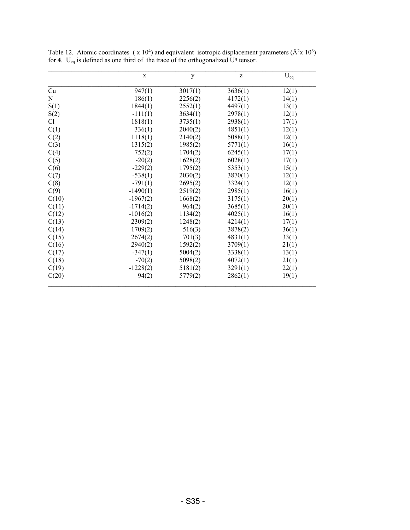|                | $\mathbf X$ | y       | $\mathbf{Z}% ^{T}=\mathbf{Z}^{T}\times\mathbf{Z}^{T}$ | $U_{eq}$ |
|----------------|-------------|---------|-------------------------------------------------------|----------|
| Cu             | 947(1)      | 3017(1) | 3636(1)                                               | 12(1)    |
| N              | 186(1)      | 2256(2) | 4172(1)                                               | 14(1)    |
| S(1)           | 1844(1)     | 2552(1) | 4497(1)                                               | 13(1)    |
| S(2)           | $-111(1)$   | 3634(1) | 2978(1)                                               | 12(1)    |
| C <sub>1</sub> | 1818(1)     | 3735(1) | 2938(1)                                               | 17(1)    |
| C(1)           | 336(1)      | 2040(2) | 4851(1)                                               | 12(1)    |
| C(2)           | 1118(1)     | 2140(2) | 5088(1)                                               | 12(1)    |
| C(3)           | 1315(2)     | 1985(2) | 5771(1)                                               | 16(1)    |
| C(4)           | 752(2)      | 1704(2) | 6245(1)                                               | 17(1)    |
| C(5)           | $-20(2)$    | 1628(2) | 6028(1)                                               | 17(1)    |
| C(6)           | $-229(2)$   | 1795(2) | 5353(1)                                               | 15(1)    |
| C(7)           | $-538(1)$   | 2030(2) | 3870(1)                                               | 12(1)    |
| C(8)           | $-791(1)$   | 2695(2) | 3324(1)                                               | 12(1)    |
| C(9)           | $-1490(1)$  | 2519(2) | 2985(1)                                               | 16(1)    |
| C(10)          | $-1967(2)$  | 1668(2) | 3175(1)                                               | 20(1)    |
| C(11)          | $-1714(2)$  | 964(2)  | 3685(1)                                               | 20(1)    |
| C(12)          | $-1016(2)$  | 1134(2) | 4025(1)                                               | 16(1)    |
| C(13)          | 2309(2)     | 1248(2) | 4214(1)                                               | 17(1)    |
| C(14)          | 1709(2)     | 516(3)  | 3878(2)                                               | 36(1)    |
| C(15)          | 2674(2)     | 701(3)  | 4831(1)                                               | 33(1)    |
| C(16)          | 2940(2)     | 1592(2) | 3709(1)                                               | 21(1)    |
| C(17)          | $-347(1)$   | 5004(2) | 3338(1)                                               | 13(1)    |
| C(18)          | $-70(2)$    | 5098(2) | 4072(1)                                               | 21(1)    |
| C(19)          | $-1228(2)$  | 5181(2) | 3291(1)                                               | 22(1)    |
| C(20)          | 94(2)       | 5779(2) | 2862(1)                                               | 19(1)    |

Table 12. Atomic coordinates ( $x 10<sup>4</sup>$ ) and equivalent isotropic displacement parameters ( $\AA^2 x 10^3$ ) for **4**. U<sub>eq</sub> is defined as one third of the trace of the orthogonalized  $U^{ij}$  tensor.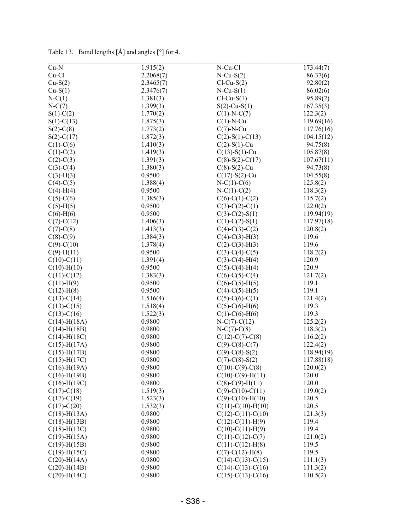| $Cu-N$             | 1.915(2)  | N-Cu-Cl             | 173.44(7)         |
|--------------------|-----------|---------------------|-------------------|
| Cu-Cl              | 2.2068(7) | $N$ -Cu-S $(2)$     | 86.37(6)          |
| $Cu-S(2)$          | 2.3465(7) | $Cl-Cu-S(2)$        | 92.80(2)          |
| $Cu-S(1)$          | 2.3476(7) | $N$ -Cu-S $(1)$     | 86.02(6)          |
| $N-C(1)$           | 1.381(3)  | $Cl-Cu-S(1)$        | 95.89(2)          |
| $N-C(7)$           | 1.399(3)  | $S(2)$ -Cu-S(1)     | 167.35(3)         |
| $S(1)-C(2)$        | 1.770(2)  | $C(1)-N-C(7)$       | 122.3(2)          |
| $S(1)-C(13)$       | 1.875(3)  | $C(1)-N-Cu$         | 119.69(16)        |
| $S(2)$ -C $(8)$    | 1.773(2)  | $C(7)-N-Cu$         | 117.76(16)        |
| $S(2) - C(17)$     | 1.872(3)  | $C(2)$ -S(1)-C(13)  | 104.15(12)        |
| $C(1)-C(6)$        | 1.410(3)  | $C(2)$ -S(1)-Cu     | 94.75(8)          |
| $C(1)-C(2)$        | 1.419(3)  | $C(13)$ -S(1)-Cu    | 105.87(8)         |
| $C(2)-C(3)$        | 1.391(3)  | $C(8)$ -S(2)-C(17)  | 107.67(11)        |
| $C(3)-C(4)$        | 1.380(3)  | $C(8)$ -S(2)-Cu     | 94.73(8)          |
| $C(3)-H(3)$        | 0.9500    | $C(17)$ -S(2)-Cu    | 104.55(8)         |
| $C(4)-C(5)$        | 1.388(4)  | $N-C(1)-C(6)$       | 125.8(2)          |
| $C(4)-H(4)$        | 0.9500    | $N-C(1)-C(2)$       | 118.3(2)          |
| $C(5)-C(6)$        | 1.385(3)  | $C(6)-C(1)-C(2)$    | 115.7(2)          |
| $C(5)-H(5)$        | 0.9500    | $C(3)-C(2)-C(1)$    | 122.0(2)          |
| $C(6)-H(6)$        | 0.9500    | $C(3)-C(2)-S(1)$    | 119.94(19)        |
| $C(7)$ - $C(12)$   | 1.406(3)  | $C(1)$ -C(2)-S(1)   | 117.97(18)        |
| $C(7)$ - $C(8)$    | 1.413(3)  | $C(4)-C(3)-C(2)$    | 120.8(2)          |
| $C(8)-C(9)$        | 1.384(3)  | $C(4)-C(3)-H(3)$    | 119.6             |
| $C(9) - C(10)$     | 1.378(4)  | $C(2)$ -C(3)-H(3)   | 119.6             |
| $C(9)$ -H $(11)$   | 0.9500    | $C(3)-C(4)-C(5)$    | 118.2(2)          |
| $C(10)-C(11)$      | 1.391(4)  | $C(3)-C(4)-H(4)$    | 120.9             |
| $C(10)$ -H $(10)$  | 0.9500    | $C(5)-C(4)-H(4)$    | 120.9             |
| $C(11)-C(12)$      | 1.383(3)  | $C(6)-C(5)-C(4)$    | 121.7(2)          |
| $C(11)$ -H(9)      | 0.9500    | $C(6)-C(5)-H(5)$    | 119.1             |
| $C(12)$ -H(8)      | 0.9500    | $C(4)-C(5)-H(5)$    | 119.1             |
| $C(13)-C(14)$      | 1.516(4)  | $C(5)-C(6)-C(1)$    | 121.4(2)          |
| $C(13)-C(15)$      | 1.518(4)  | $C(5)-C(6)-H(6)$    | 119.3             |
| $C(13)-C(16)$      | 1.522(3)  | $C(1)-C(6)-H(6)$    | 119.3             |
| $C(14)$ -H(18A)    | 0.9800    | $N-C(7)-C(12)$      | 125.2(2)          |
| $C(14)$ -H(18B)    | 0.9800    | $N-C(7)-C(8)$       | 118.3(2)          |
| $C(14)$ -H $(18C)$ | 0.9800    | $C(12)-C(7)-C(8)$   | 116.2(2)          |
| $C(15)$ -H(17A)    | 0.9800    | $C(9)$ -C(8)-C(7)   | 122.4(2)          |
| $C(15)$ -H $(17B)$ | 0.9800    | $C(9)$ -C(8)-S(2)   | 118.94(19)        |
|                    | 0.9800    | $C(7)$ -C(8)-S(2)   |                   |
| $C(15)$ -H(17C)    | 0.9800    |                     | 117.88(18)        |
| $C(16)$ -H(19A)    | 0.9800    | $C(10)-C(9)-C(8)$   | 120.0(2)<br>120.0 |
| $C(16)$ -H(19B)    | 0.9800    | $C(10)-C(9)-H(11)$  | 120.0             |
| $C(16)$ -H(19C)    |           | $C(8)-C(9)-H(11)$   |                   |
| $C(17)-C(18)$      | 1.519(3)  | $C(9)-C(10)-C(11)$  | 119.0(2)          |
| $C(17)-C(19)$      | 1.523(3)  | $C(9)-C(10)-H(10)$  | 120.5             |
| $C(17)-C(20)$      | 1.532(3)  | $C(11)-C(10)-H(10)$ | 120.5             |
| $C(18) - H(13A)$   | 0.9800    | $C(12)-C(11)-C(10)$ | 121.3(3)          |
| $C(18)$ -H $(13B)$ | 0.9800    | $C(12)-C(11)-H(9)$  | 119.4             |
| $C(18) - H(13C)$   | 0.9800    | $C(10)-C(11)-H(9)$  | 119.4             |
| $C(19) - H(15A)$   | 0.9800    | $C(11)-C(12)-C(7)$  | 121.0(2)          |
| $C(19) - H(15B)$   | 0.9800    | $C(11)-C(12)-H(8)$  | 119.5             |
| $C(19)$ -H $(15C)$ | 0.9800    | $C(7)$ -C(12)-H(8)  | 119.5             |
| $C(20)$ -H(14A)    | 0.9800    | $C(14)-C(13)-C(15)$ | 111.1(3)          |
| $C(20)$ -H $(14B)$ | 0.9800    | $C(14)-C(13)-C(16)$ | 111.3(2)          |
| $C(20)$ -H $(14C)$ | 0.9800    | $C(15)-C(13)-C(16)$ | 110.5(2)          |

Table 13. Bond lengths [Å] and angles [°] for **4**.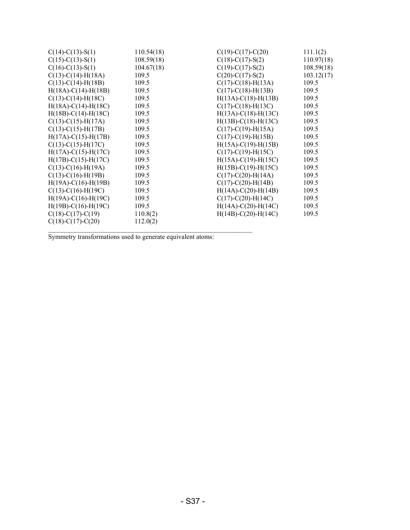| $C(14)-C(13)-S(1)$        | 110.54(18) | $C(19)-C(17)-C(20)$          | 111.1(2)   |
|---------------------------|------------|------------------------------|------------|
| $C(15)-C(13)-S(1)$        | 108.59(18) | $C(18)-C(17)-S(2)$           | 110.97(18) |
| $C(16)-C(13)-S(1)$        | 104.67(18) | $C(19)-C(17)-S(2)$           | 108.59(18) |
| $C(13)-C(14)-H(18A)$      | 109.5      | $C(20)-C(17)-S(2)$           | 103.12(17) |
| $C(13)-C(14)-H(18B)$      | 109.5      | $C(17) - C(18) - H(13A)$     | 109.5      |
| $H(18A)-C(14)-H(18B)$     | 109.5      | $C(17)-C(18)-H(13B)$         | 109.5      |
| $C(13)-C(14)-H(18C)$      | 109.5      | $H(13A) - C(18) - H(13B)$    | 109.5      |
| $H(18A)-C(14)-H(18C)$     | 109.5      | $C(17)$ -C(18)-H(13C)        | 109.5      |
| $H(18B)-C(14)-H(18C)$     | 109.5      | $H(13A)-C(18)-H(13C)$        | 109.5      |
| $C(13)-C(15)-H(17A)$      | 109.5      | $H(13B) - C(18) - H(13C)$    | 109.5      |
| $C(13)-C(15)-H(17B)$      | 109.5      | $C(17)$ -C(19)-H(15A)        | 109.5      |
| $H(17A) - C(15) - H(17B)$ | 109.5      | $C(17) - C(19) - H(15B)$     | 109.5      |
| $C(13)-C(15)-H(17C)$      | 109.5      | $H(15A)-C(19)-H(15B)$        | 109.5      |
| $H(17A)-C(15)-H(17C)$     | 109.5      | $C(17)-C(19)-H(15C)$         | 109.5      |
| $H(17B) - C(15) - H(17C)$ | 109.5      | $H(15A)-C(19)-H(15C)$        | 109.5      |
| $C(13)-C(16)-H(19A)$      | 109.5      | $H(15B) - C(19) - H(15C)$    | 109.5      |
| $C(13)-C(16)-H(19B)$      | 109.5      | $C(17)$ -C(20)-H(14A)        | 109.5      |
| $H(19A)-C(16)-H(19B)$     | 109.5      | $C(17)$ -C $(20)$ -H $(14B)$ | 109.5      |
| $C(13)-C(16)-H(19C)$      | 109.5      | $H(14A)-C(20)-H(14B)$        | 109.5      |
| $H(19A)-C(16)-H(19C)$     | 109.5      | $C(17)$ -C(20)-H(14C)        | 109.5      |
| $H(19B)-C(16)-H(19C)$     | 109.5      | $H(14A) - C(20) - H(14C)$    | 109.5      |
| $C(18)-C(17)-C(19)$       | 110.8(2)   | $H(14B) - C(20) - H(14C)$    | 109.5      |
| $C(18)-C(17)-C(20)$       | 112.0(2)   |                              |            |
|                           |            |                              |            |

Symmetry transformations used to generate equivalent atoms: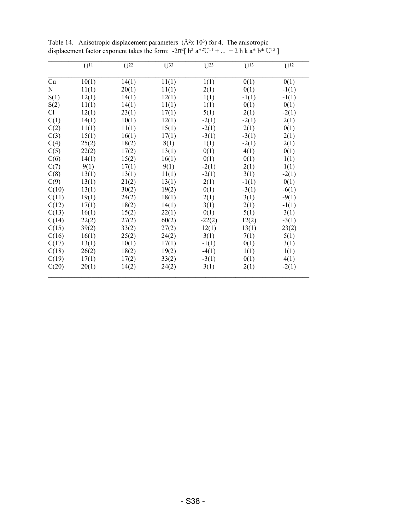|                | $U^{11}$ | $U^{22}$ | $U^{33}$ | $U^{23}$ | $U^{13}$ | $U^{12}$ |
|----------------|----------|----------|----------|----------|----------|----------|
| Cu             | 10(1)    | 14(1)    | 11(1)    | 1(1)     | 0(1)     | 0(1)     |
| N              | 11(1)    | 20(1)    | 11(1)    | 2(1)     | 0(1)     | $-1(1)$  |
| S(1)           | 12(1)    | 14(1)    | 12(1)    | 1(1)     | $-1(1)$  | $-1(1)$  |
| S(2)           | 11(1)    | 14(1)    | 11(1)    | 1(1)     | 0(1)     | 0(1)     |
| C <sub>1</sub> | 12(1)    | 23(1)    | 17(1)    | 5(1)     | 2(1)     | $-2(1)$  |
| C(1)           | 14(1)    | 10(1)    | 12(1)    | $-2(1)$  | $-2(1)$  | 2(1)     |
| C(2)           | 11(1)    | 11(1)    | 15(1)    | $-2(1)$  | 2(1)     | 0(1)     |
| C(3)           | 15(1)    | 16(1)    | 17(1)    | $-3(1)$  | $-3(1)$  | 2(1)     |
| C(4)           | 25(2)    | 18(2)    | 8(1)     | 1(1)     | $-2(1)$  | 2(1)     |
| C(5)           | 22(2)    | 17(2)    | 13(1)    | 0(1)     | 4(1)     | 0(1)     |
| C(6)           | 14(1)    | 15(2)    | 16(1)    | 0(1)     | 0(1)     | 1(1)     |
| C(7)           | 9(1)     | 17(1)    | 9(1)     | $-2(1)$  | 2(1)     | 1(1)     |
| C(8)           | 13(1)    | 13(1)    | 11(1)    | $-2(1)$  | 3(1)     | $-2(1)$  |
| C(9)           | 13(1)    | 21(2)    | 13(1)    | 2(1)     | $-1(1)$  | 0(1)     |
| C(10)          | 13(1)    | 30(2)    | 19(2)    | 0(1)     | $-3(1)$  | $-6(1)$  |
| C(11)          | 19(1)    | 24(2)    | 18(1)    | 2(1)     | 3(1)     | $-9(1)$  |
| C(12)          | 17(1)    | 18(2)    | 14(1)    | 3(1)     | 2(1)     | $-1(1)$  |
| C(13)          | 16(1)    | 15(2)    | 22(1)    | 0(1)     | 5(1)     | 3(1)     |
| C(14)          | 22(2)    | 27(2)    | 60(2)    | $-22(2)$ | 12(2)    | $-3(1)$  |
| C(15)          | 39(2)    | 33(2)    | 27(2)    | 12(1)    | 13(1)    | 23(2)    |
| C(16)          | 16(1)    | 25(2)    | 24(2)    | 3(1)     | 7(1)     | 5(1)     |
| C(17)          | 13(1)    | 10(1)    | 17(1)    | $-1(1)$  | 0(1)     | 3(1)     |
| C(18)          | 26(2)    | 18(2)    | 19(2)    | $-4(1)$  | 1(1)     | 1(1)     |
| C(19)          | 17(1)    | 17(2)    | 33(2)    | $-3(1)$  | 0(1)     | 4(1)     |
| C(20)          | 20(1)    | 14(2)    | 24(2)    | 3(1)     | 2(1)     | $-2(1)$  |

Table 14. Anisotropic displacement parameters  $(\hat{A}^2x 10^3)$  for 4. The anisotropic displacement factor exponent takes the form:  $-2\pi^2$ [ h<sup>2</sup> a<sup>\*2</sup>U<sup>11</sup> + ... + 2 h k a<sup>\*</sup> b<sup>\*</sup> U<sup>12</sup> ]